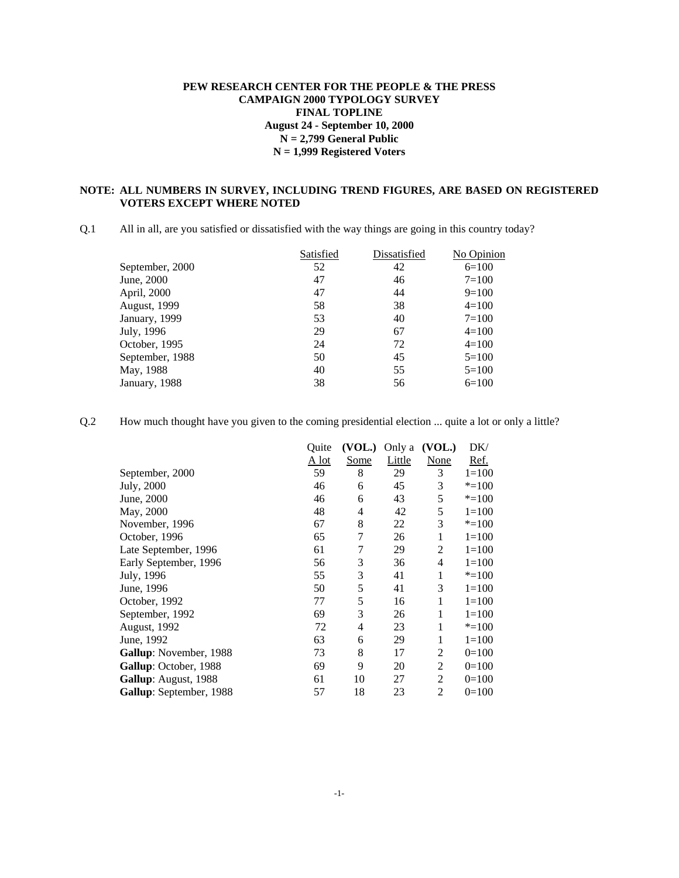## **PEW RESEARCH CENTER FOR THE PEOPLE & THE PRESS CAMPAIGN 2000 TYPOLOGY SURVEY FINAL TOPLINE August 24 - September 10, 2000 N = 2,799 General Public N = 1,999 Registered Voters**

# **NOTE: ALL NUMBERS IN SURVEY, INCLUDING TREND FIGURES, ARE BASED ON REGISTERED VOTERS EXCEPT WHERE NOTED**

Q.1 All in all, are you satisfied or dissatisfied with the way things are going in this country today?

|                 | Satisfied | Dissatisfied | No Opinion |
|-----------------|-----------|--------------|------------|
| September, 2000 | 52        | 42           | $6=100$    |
| June, 2000      | 47        | 46           | $7=100$    |
| April, 2000     | 47        | 44           | $9=100$    |
| August, 1999    | 58        | 38           | $4=100$    |
| January, 1999   | 53        | 40           | $7 = 100$  |
| July, 1996      | 29        | 67           | $4=100$    |
| October, 1995   | 24        | 72           | $4=100$    |
| September, 1988 | 50        | 45           | $5=100$    |
| May, 1988       | 40        | 55           | $5=100$    |
| January, 1988   | 38        | 56           | $6=100$    |
|                 |           |              |            |

Q.2 How much thought have you given to the coming presidential election ... quite a lot or only a little?

|                         | Quite        | (VOL.) | Only a | (VOL.)         | DK/       |
|-------------------------|--------------|--------|--------|----------------|-----------|
|                         | <u>A lot</u> | Some   | Little | <b>None</b>    | Ref.      |
| September, 2000         | 59           | 8      | 29     | 3              | $1=100$   |
| July, 2000              | 46           | 6      | 45     | 3              | $* = 100$ |
| June, 2000              | 46           | 6      | 43     | 5              | $* = 100$ |
| May, 2000               | 48           | 4      | 42     | 5              | $1 = 100$ |
| November, 1996          | 67           | 8      | 22     | 3              | $* = 100$ |
| October, 1996           | 65           | 7      | 26     | 1              | $1=100$   |
| Late September, 1996    | 61           | 7      | 29     | $\overline{2}$ | $1 = 100$ |
| Early September, 1996   | 56           | 3      | 36     | 4              | $1 = 100$ |
| July, 1996              | 55           | 3      | 41     | 1              | $* = 100$ |
| June, 1996              | 50           | 5      | 41     | 3              | $1=100$   |
| October, 1992           | 77           | 5      | 16     | 1              | $1=100$   |
| September, 1992         | 69           | 3      | 26     | 1              | $1=100$   |
| <b>August, 1992</b>     | 72           | 4      | 23     | 1              | $* = 100$ |
| June, 1992              | 63           | 6      | 29     | 1              | $1=100$   |
| Gallup: November, 1988  | 73           | 8      | 17     | 2              | $0=100$   |
| Gallup: October, 1988   | 69           | 9      | 20     | 2              | $0=100$   |
| Gallup: August, 1988    | 61           | 10     | 27     | $\overline{c}$ | $0=100$   |
| Gallup: September, 1988 | 57           | 18     | 23     | $\overline{2}$ | $0=100$   |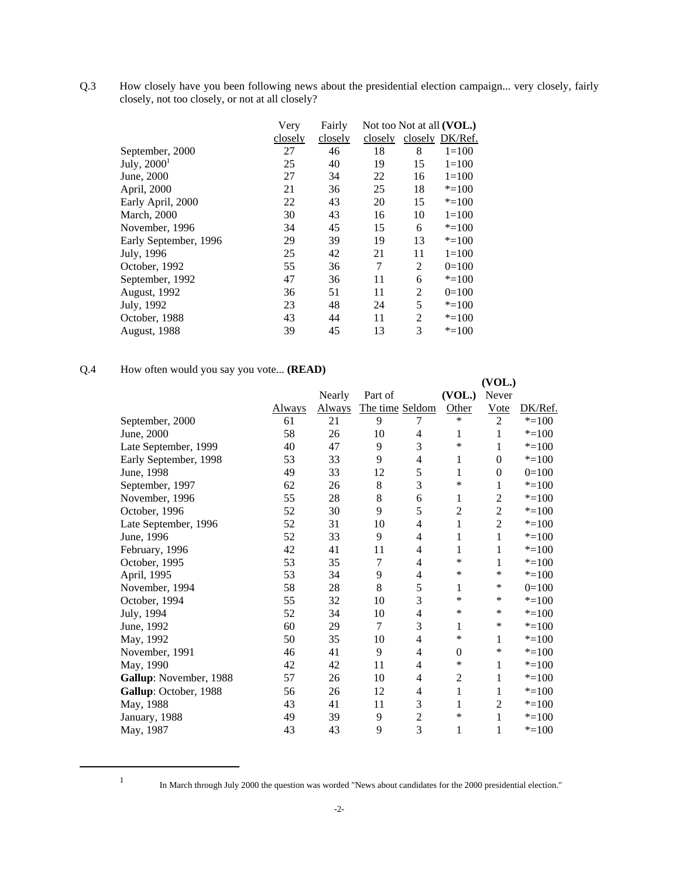Q.3 How closely have you been following news about the presidential election campaign... very closely, fairly closely, not too closely, or not at all closely?

|                       | Very    | Fairly  |         |    | Not too Not at all (VOL.) |
|-----------------------|---------|---------|---------|----|---------------------------|
|                       | closely | closely | closely |    | closely DK/Ref.           |
| September, 2000       | 27      | 46      | 18      | 8  | $1=100$                   |
| July, $20001$         | 25      | 40      | 19      | 15 | $1=100$                   |
| June, 2000            | 27      | 34      | 22      | 16 | $1=100$                   |
| April, 2000           | 21      | 36      | 25      | 18 | $* = 100$                 |
| Early April, 2000     | 22      | 43      | 20      | 15 | $* = 100$                 |
| <b>March</b> , 2000   | 30      | 43      | 16      | 10 | $1 = 100$                 |
| November, 1996        | 34      | 45      | 15      | 6  | $* = 100$                 |
| Early September, 1996 | 29      | 39      | 19      | 13 | $* = 100$                 |
| July, 1996            | 25      | 42      | 21      | 11 | $1 = 100$                 |
| October, 1992         | 55      | 36      | 7       | 2  | $0=100$                   |
| September, 1992       | 47      | 36      | 11      | 6  | $* = 100$                 |
| August, 1992          | 36      | 51      | 11      | 2  | $0=100$                   |
| July, 1992            | 23      | 48      | 24      | 5  | $* = 100$                 |
| October, 1988         | 43      | 44      | 11      | 2  | $* = 100$                 |
| August, 1988          | 39      | 45      | 13      | 3  | $* = 100$                 |
|                       |         |         |         |    |                           |

# Q.4 How often would you say you vote... **(READ)**

|                        |        |               |                 |                |                  | (VOL.)         |           |
|------------------------|--------|---------------|-----------------|----------------|------------------|----------------|-----------|
|                        |        | Nearly        | Part of         |                | (VOL.)           | Never          |           |
|                        | Always | <b>Always</b> | The time Seldom |                | Other            | Vote           | DK/Ref.   |
| September, 2000        | 61     | 21            | 9               | 7              | $\ast$           | $\overline{2}$ | $* = 100$ |
| June, 2000             | 58     | 26            | 10              | 4              | 1                | 1              | $* = 100$ |
| Late September, 1999   | 40     | 47            | 9               | 3              | $\ast$           | 1              | $* = 100$ |
| Early September, 1998  | 53     | 33            | 9               | 4              | 1                | $\theta$       | $* = 100$ |
| June, 1998             | 49     | 33            | 12              | 5              | 1                | $\theta$       | $0=100$   |
| September, 1997        | 62     | 26            | 8               | 3              | $\ast$           | 1              | $* = 100$ |
| November, 1996         | 55     | 28            | 8               | 6              | 1                | 2              | $* = 100$ |
| October, 1996          | 52     | 30            | 9               | 5              | $\overline{2}$   | $\overline{c}$ | $* = 100$ |
| Late September, 1996   | 52     | 31            | 10              | 4              | 1                | $\overline{2}$ | $* = 100$ |
| June, 1996             | 52     | 33            | 9               | 4              | 1                | $\mathbf 1$    | $* = 100$ |
| February, 1996         | 42     | 41            | 11              | 4              | 1                | 1              | $* = 100$ |
| October, 1995          | 53     | 35            | 7               | 4              | $\ast$           | 1              | $* = 100$ |
| April, 1995            | 53     | 34            | 9               | 4              | ∗                | $\ast$         | $* = 100$ |
| November, 1994         | 58     | 28            | 8               | 5              | 1                | $\ast$         | $0=100$   |
| October, 1994          | 55     | 32            | 10              | 3              | $\ast$           | *              | $* = 100$ |
| July, 1994             | 52     | 34            | 10              | 4              | $\ast$           | $\ast$         | $* = 100$ |
| June, 1992             | 60     | 29            | 7               | 3              | 1                | ∗              | $* = 100$ |
| May, 1992              | 50     | 35            | 10              | 4              | *                | 1              | $* = 100$ |
| November, 1991         | 46     | 41            | 9               | 4              | $\boldsymbol{0}$ | $\ast$         | $* = 100$ |
| May, 1990              | 42     | 42            | 11              | 4              | $\ast$           | 1              | $* = 100$ |
| Gallup: November, 1988 | 57     | 26            | 10              | 4              | $\overline{c}$   | 1              | $* = 100$ |
| Gallup: October, 1988  | 56     | 26            | 12              | 4              | 1                | 1              | $* = 100$ |
| May, 1988              | 43     | 41            | 11              | 3              | 1                | 2              | $* = 100$ |
| January, 1988          | 49     | 39            | 9               | $\overline{c}$ | $\ast$           | $\mathbf{1}$   | $* = 100$ |
| May, 1987              | 43     | 43            | 9               | 3              | 1                | 1              | $* = 100$ |

<sup>1</sup> In March through July 2000 the question was worded "News about candidates for the 2000 presidential election."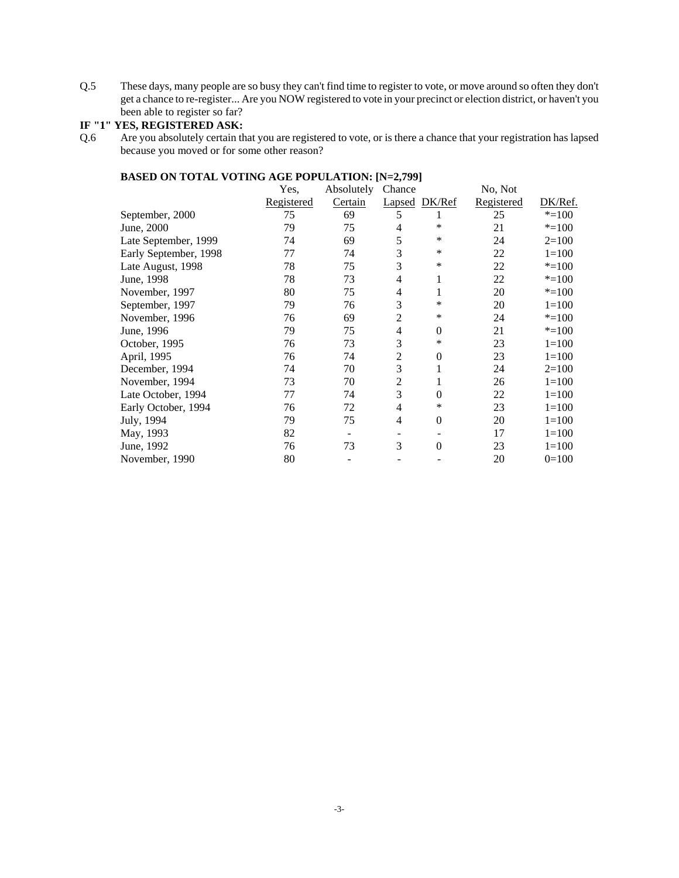Q.5 These days, many people are so busy they can't find time to register to vote, or move around so often they don't get a chance to re-register... Are you NOW registered to vote in your precinct or election district, or haven't you been able to register so far?

# **IF "1" YES, REGISTERED ASK:**

Q.6 Are you absolutely certain that you are registered to vote, or is there a chance that your registration has lapsed because you moved or for some other reason?

| $\frac{1}{2}$         |            |            |                |                  |            |           |
|-----------------------|------------|------------|----------------|------------------|------------|-----------|
|                       | Yes.       | Absolutely | Chance         |                  | No, Not    |           |
|                       | Registered | Certain    |                | Lapsed DK/Ref    | Registered | DK/Ref.   |
| September, 2000       | 75         | 69         | 5              |                  | 25         | $* = 100$ |
| June, 2000            | 79         | 75         | 4              | *                | 21         | $* = 100$ |
| Late September, 1999  | 74         | 69         | 5              | ∗                | 24         | $2=100$   |
| Early September, 1998 | 77         | 74         | 3              | ∗                | 22         | $1=100$   |
| Late August, 1998     | 78         | 75         | 3              | $\ast$           | 22         | $* = 100$ |
| June, 1998            | 78         | 73         | 4              | 1                | 22         | $* = 100$ |
| November, 1997        | 80         | 75         | 4              | 1                | 20         | $* = 100$ |
| September, 1997       | 79         | 76         | 3              | *                | 20         | $1=100$   |
| November, 1996        | 76         | 69         | 2              | *                | 24         | $* = 100$ |
| June, 1996            | 79         | 75         | 4              | $\boldsymbol{0}$ | 21         | $* = 100$ |
| October, 1995         | 76         | 73         | 3              | ∗                | 23         | $1=100$   |
| April, 1995           | 76         | 74         | $\overline{2}$ | $\theta$         | 23         | $1=100$   |
| December, 1994        | 74         | 70         | 3              | 1                | 24         | $2=100$   |
| November, 1994        | 73         | 70         | 2              | 1                | 26         | $1=100$   |
| Late October, 1994    | 77         | 74         | 3              | $\theta$         | 22         | $1=100$   |
| Early October, 1994   | 76         | 72         | 4              | ∗                | 23         | $1=100$   |
| July, 1994            | 79         | 75         | 4              | $\boldsymbol{0}$ | 20         | $1=100$   |
| May, 1993             | 82         |            |                |                  | 17         | $1=100$   |
| June, 1992            | 76         | 73         | 3              | $\theta$         | 23         | $1=100$   |
| November, 1990        | 80         |            |                |                  | 20         | $0=100$   |

# **BASED ON TOTAL VOTING AGE POPULATION: [N=2,799]**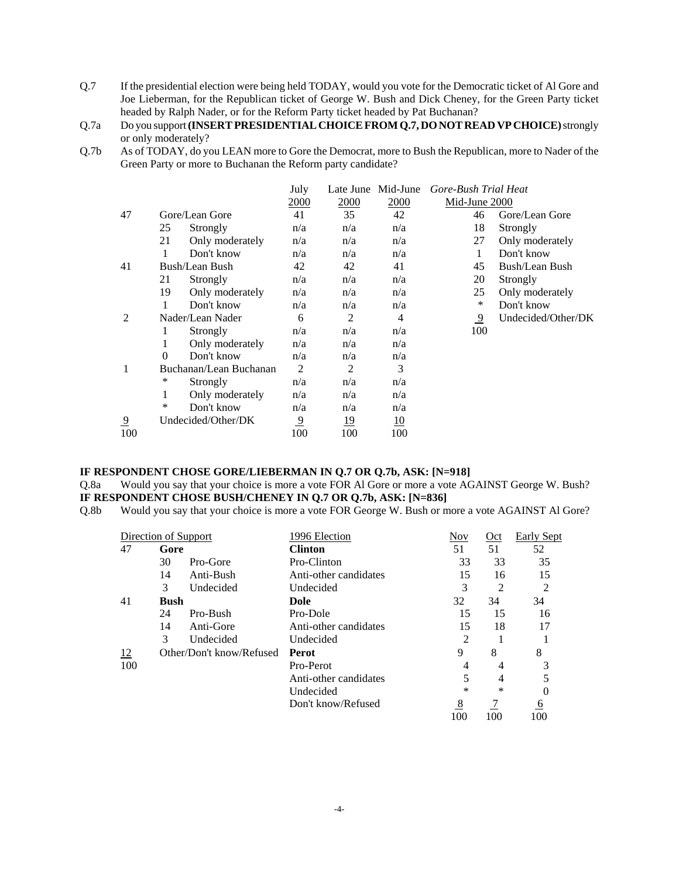- Q.7 If the presidential election were being held TODAY, would you vote for the Democratic ticket of Al Gore and Joe Lieberman, for the Republican ticket of George W. Bush and Dick Cheney, for the Green Party ticket headed by Ralph Nader, or for the Reform Party ticket headed by Pat Buchanan?
- Q.7a Do you support **(INSERT PRESIDENTIAL CHOICE FROM Q.7, DO NOT READ VP CHOICE)** strongly or only moderately?
- Q.7b As of TODAY, do you LEAN more to Gore the Democrat, more to Bush the Republican, more to Nader of the Green Party or more to Buchanan the Reform party candidate?

|                |          |                        | July           | Late June | Mid-June | Gore-Bush Trial Heat |                    |
|----------------|----------|------------------------|----------------|-----------|----------|----------------------|--------------------|
|                |          |                        | 2000           | 2000      | 2000     | Mid-June 2000        |                    |
| 47             |          | Gore/Lean Gore         | 41             | 35        | 42       | 46                   | Gore/Lean Gore     |
|                | 25       | Strongly               | n/a            | n/a       | n/a      | 18                   | Strongly           |
|                | 21       | Only moderately        | n/a            | n/a       | n/a      | 27                   | Only moderately    |
|                | 1        | Don't know             | n/a            | n/a       | n/a      | $\mathbf{1}$         | Don't know         |
| 41             |          | Bush/Lean Bush         | 42             | 42        | 41       | 45                   | Bush/Lean Bush     |
|                | 21       | Strongly               | n/a            | n/a       | n/a      | 20                   | Strongly           |
|                | 19       | Only moderately        | n/a            | n/a       | n/a      | 25                   | Only moderately    |
|                |          | Don't know             | n/a            | n/a       | n/a      | ∗                    | Don't know         |
| 2              |          | Nader/Lean Nader       | 6              | 2         | 4        | $\overline{9}$       | Undecided/Other/DK |
|                | 1        | Strongly               | n/a            | n/a       | n/a      | 100                  |                    |
|                |          | Only moderately        | n/a            | n/a       | n/a      |                      |                    |
|                | $\Omega$ | Don't know             | n/a            | n/a       | n/a      |                      |                    |
|                |          | Buchanan/Lean Buchanan | 2              | 2         | 3        |                      |                    |
|                | *        | Strongly               | n/a            | n/a       | n/a      |                      |                    |
|                |          | Only moderately        | n/a            | n/a       | n/a      |                      |                    |
|                | *        | Don't know             | n/a            | n/a       | n/a      |                      |                    |
| $\overline{9}$ |          | Undecided/Other/DK     | $\overline{9}$ | <u>19</u> | 10       |                      |                    |
| 100            |          |                        | 100            | 100       | 100      |                      |                    |

#### **IF RESPONDENT CHOSE GORE/LIEBERMAN IN Q.7 OR Q.7b, ASK: [N=918]**

Q.8a Would you say that your choice is more a vote FOR Al Gore or more a vote AGAINST George W. Bush? **IF RESPONDENT CHOSE BUSH/CHENEY IN Q.7 OR Q.7b, ASK: [N=836]**

Q.8b Would you say that your choice is more a vote FOR George W. Bush or more a vote AGAINST Al Gore?

| Direction of Support |             |                          | 1996 Election         | Nov | Oct | Early Sept |
|----------------------|-------------|--------------------------|-----------------------|-----|-----|------------|
| 47                   | Gore        |                          | <b>Clinton</b>        | 51  | 51  | 52         |
|                      | 30          | Pro-Gore                 | Pro-Clinton           | 33  | 33  | 35         |
|                      | 14          | Anti-Bush                | Anti-other candidates | 15  | 16  | 15         |
|                      | 3           | Undecided                | Undecided             | 3   | 2   | 2          |
| 41                   | <b>Bush</b> |                          | Dole                  | 32  | 34  | 34         |
|                      | 24          | Pro-Bush                 | Pro-Dole              | 15  | 15  | 16         |
|                      | 14          | Anti-Gore                | Anti-other candidates | 15  | 18  | 17         |
|                      | 3           | Undecided                | Undecided             | 2   |     |            |
| 12                   |             | Other/Don't know/Refused | <b>Perot</b>          | 9   | 8   | 8          |
| 100                  |             |                          | Pro-Perot             | 4   | 4   |            |
|                      |             |                          | Anti-other candidates | 5   | 4   |            |
|                      |             |                          | Undecided             | *   | *   |            |
|                      |             |                          | Don't know/Refused    | 8   |     | <u>6</u>   |
|                      |             |                          |                       | 100 | 100 | 100        |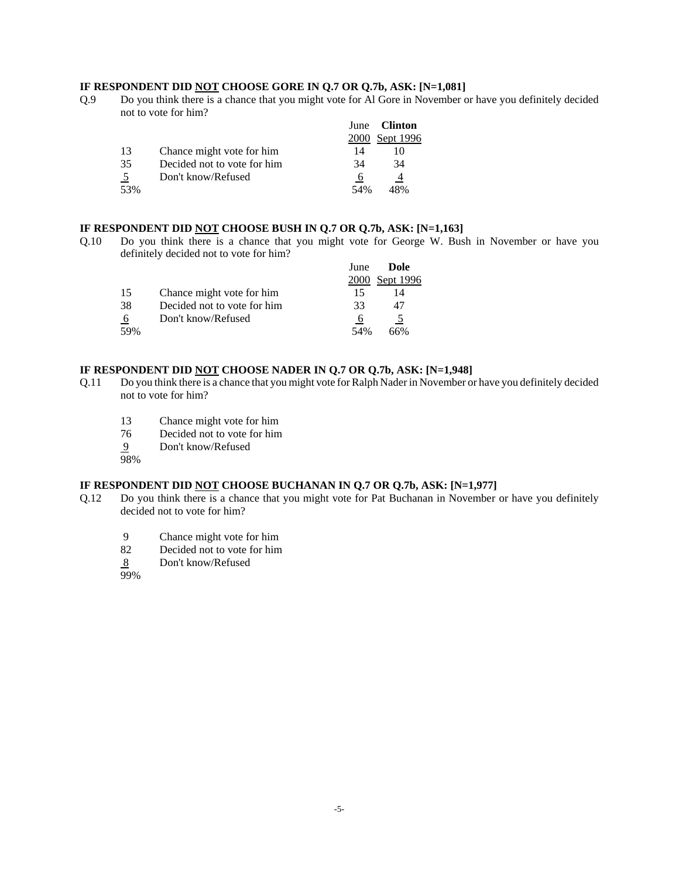## **IF RESPONDENT DID NOT CHOOSE GORE IN Q.7 OR Q.7b, ASK: [N=1,081]**

Q.9 Do you think there is a chance that you might vote for Al Gore in November or have you definitely decided not to vote for him?

|     |                             | June        | <b>Clinton</b> |
|-----|-----------------------------|-------------|----------------|
|     |                             | <b>2000</b> | Sept 1996      |
| 13  | Chance might vote for him   | 14          |                |
| 35  | Decided not to vote for him | 34          | 34             |
| - 5 | Don't know/Refused          | O           |                |
| 53% |                             | 54%         |                |

# **IF RESPONDENT DID NOT CHOOSE BUSH IN Q.7 OR Q.7b, ASK: [N=1,163]**

Q.10 Do you think there is a chance that you might vote for George W. Bush in November or have you definitely decided not to vote for him?

|     |                             | June        | Dole      |
|-----|-----------------------------|-------------|-----------|
|     |                             | <b>2000</b> | Sept 1996 |
| 15  | Chance might vote for him   |             |           |
| 38  | Decided not to vote for him | 33          |           |
| -6  | Don't know/Refused          | 6           |           |
| 59% |                             | 54%         | 66%       |

#### **IF RESPONDENT DID NOT CHOOSE NADER IN Q.7 OR Q.7b, ASK: [N=1,948]**

- Q.11 Do you think there is a chance that you might vote for Ralph Nader in November or have you definitely decided not to vote for him?
	- 13 Chance might vote for him
	- 76 Decided not to vote for him
	- 9 Don't know/Refused
	- 98%

## **IF RESPONDENT DID NOT CHOOSE BUCHANAN IN Q.7 OR Q.7b, ASK: [N=1,977]**

- Q.12 Do you think there is a chance that you might vote for Pat Buchanan in November or have you definitely decided not to vote for him?
	- 9 Chance might vote for him
	- 82 Decided not to vote for him
	- 8 Don't know/Refused

99%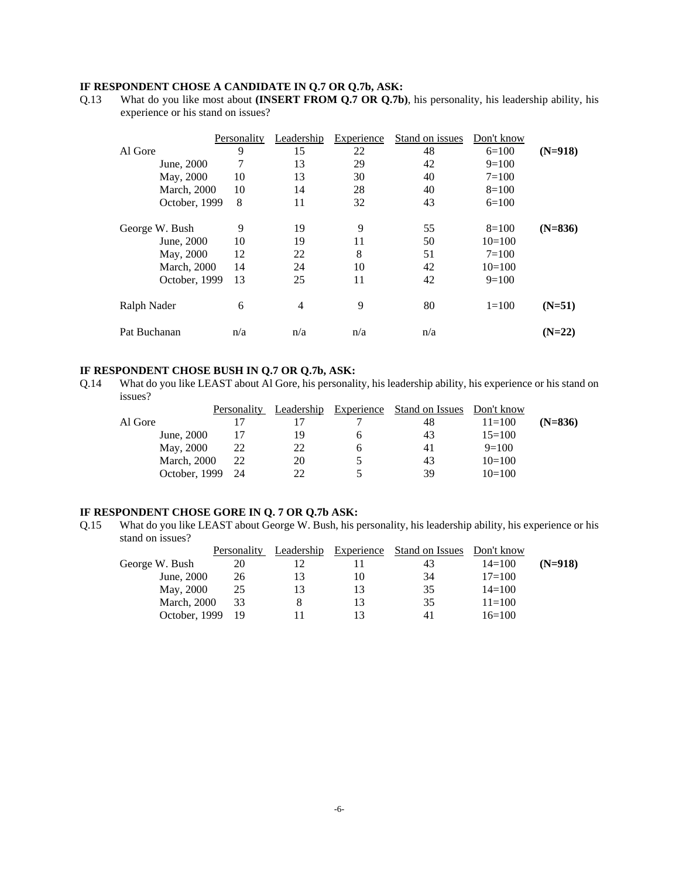# **IF RESPONDENT CHOSE A CANDIDATE IN Q.7 OR Q.7b, ASK:**

Q.13 What do you like most about **(INSERT FROM Q.7 OR Q.7b)**, his personality, his leadership ability, his experience or his stand on issues?

|                |                     | Personality | Leadership     | Experience | Stand on issues | Don't know |           |
|----------------|---------------------|-------------|----------------|------------|-----------------|------------|-----------|
| Al Gore        |                     | 9           | 15             | 22         | 48              | $6=100$    | $(N=918)$ |
|                | June, 2000          | 7           | 13             | 29         | 42              | $9=100$    |           |
|                | May, 2000           | 10          | 13             | 30         | 40              | $7 = 100$  |           |
|                | <b>March</b> , 2000 | 10          | 14             | 28         | 40              | $8=100$    |           |
|                | October, 1999       | 8           | 11             | 32         | 43              | $6=100$    |           |
| George W. Bush |                     | 9           | 19             | 9          | 55              | $8=100$    | $(N=836)$ |
|                | June, 2000          | 10          | 19             | 11         | 50              | $10=100$   |           |
|                | May, 2000           | 12          | 22             | 8          | 51              | $7 = 100$  |           |
|                | <b>March</b> , 2000 | 14          | 24             | 10         | 42              | $10=100$   |           |
|                | October, 1999       | 13          | 25             | 11         | 42              | $9=100$    |           |
| Ralph Nader    |                     | 6           | $\overline{4}$ | 9          | 80              | $1 = 100$  | $(N=51)$  |
| Pat Buchanan   |                     | n/a         | n/a            | n/a        | n/a             |            | $(N=22)$  |

#### **IF RESPONDENT CHOSE BUSH IN Q.7 OR Q.7b, ASK:**

Q.14 What do you like LEAST about Al Gore, his personality, his leadership ability, his experience or his stand on issues?

|         |                     | Personality |    | Leadership Experience Stand on Issues Don't know |            |           |
|---------|---------------------|-------------|----|--------------------------------------------------|------------|-----------|
| Al Gore |                     |             |    | 48                                               | $11 = 100$ | $(N=836)$ |
|         | June, 2000          |             | 19 | 43                                               | $15=100$   |           |
|         | May, 2000           | 22          | 22 | 41                                               | $9=100$    |           |
|         | <b>March</b> , 2000 | 22          | 20 | 43                                               | $10=100$   |           |
|         | October, 1999       | -24         | つつ | 39                                               | $10=100$   |           |

# **IF RESPONDENT CHOSE GORE IN Q. 7 OR Q.7b ASK:**<br>Q.15 What do you like LEAST about George W. Bush, his p

What do you like LEAST about George W. Bush, his personality, his leadership ability, his experience or his stand on issues?

|                     | Personality |  | Leadership Experience Stand on Issues | Don't know |           |
|---------------------|-------------|--|---------------------------------------|------------|-----------|
| George W. Bush      | 20          |  | 43                                    | $14 = 100$ | $(N=918)$ |
| June, 2000          | 26          |  | 34                                    | $17 = 100$ |           |
| May, 2000           | 25          |  | 35                                    | $14 = 100$ |           |
| <b>March</b> , 2000 | 33          |  | 35                                    | $11 = 100$ |           |
| October, 1999       | 19          |  | 41                                    | $16=100$   |           |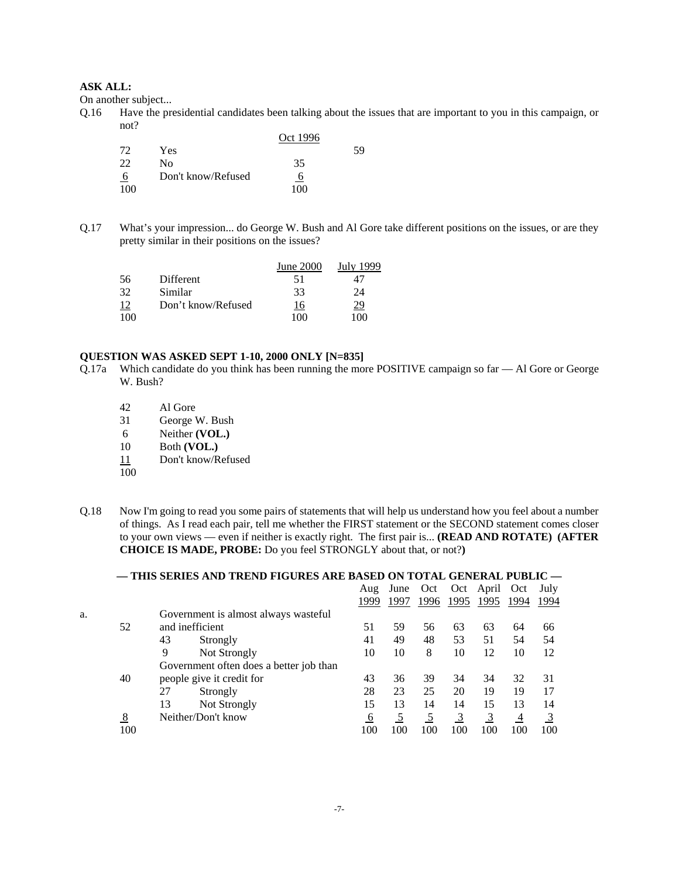# **ASK ALL:**

On another subject...

Q.16 Have the presidential candidates been talking about the issues that are important to you in this campaign, or not?

|     |                    | Oct 1996 |    |
|-----|--------------------|----------|----|
| 72  | <b>Yes</b>         |          | 59 |
| 22  | No                 | 35       |    |
| -6  | Don't know/Refused | 6        |    |
| 100 |                    | 100      |    |

Q.17 What's your impression... do George W. Bush and Al Gore take different positions on the issues, or are they pretty similar in their positions on the issues?

|            |                    | June 2000 | July 1999 |
|------------|--------------------|-----------|-----------|
| 56         | Different          | 51        |           |
| 32         | Similar            | 33        | 24        |
| <u> 12</u> | Don't know/Refused | 16        | <u>29</u> |
| 100        |                    | 100       | 100       |

#### **QUESTION WAS ASKED SEPT 1-10, 2000 ONLY [N=835]**

- Q.17a Which candidate do you think has been running the more POSITIVE campaign so far Al Gore or George W. Bush?
	- 42 Al Gore<br>31 George V
	- George W. Bush
	- 6 Neither **(VOL.)**
	- 10 Both **(VOL.)**
	- 11 Don't know/Refused
	- 100
- Q.18 Now I'm going to read you some pairs of statements that will help us understand how you feel about a number of things. As I read each pair, tell me whether the FIRST statement or the SECOND statement comes closer to your own views — even if neither is exactly right. The first pair is... **(READ AND ROTATE) (AFTER CHOICE IS MADE, PROBE:** Do you feel STRONGLY about that, or not?**)**

|    |                | - THIS SERIES AND TREND FIGURES ARE BASED ON TOTAL GENERAL PUBLIC |      |                |                |      |                |                |      |
|----|----------------|-------------------------------------------------------------------|------|----------------|----------------|------|----------------|----------------|------|
|    |                |                                                                   | Aug  | June           | Oct            |      | Oct April Oct  |                | July |
|    |                |                                                                   | 1999 | 1997           | 1996           | 1995 | <u> 1995 </u>  | 1994           | 1994 |
| a. |                | Government is almost always wasteful                              |      |                |                |      |                |                |      |
|    | 52             | and inefficient                                                   | 51   | 59             | 56             | 63   | 63             | 64             | 66   |
|    |                | 43<br>Strongly                                                    | 41   | 49             | 48             | 53   | 51             | 54             | 54   |
|    |                | Not Strongly<br>9                                                 | 10   | 10             | 8              | 10   | 12             | 10             | 12   |
|    |                | Government often does a better job than                           |      |                |                |      |                |                |      |
|    | 40             | people give it credit for                                         | 43   | 36             | 39             | 34   | 34             | 32             | 31   |
|    |                | 27<br>Strongly                                                    | 28   | 23             | 25             | 20   | 19             | 19             | 17   |
|    |                | 13<br>Not Strongly                                                | 15   | 13             | 14             | 14   | 15             | 13             | 14   |
|    | $\overline{8}$ | Neither/Don't know                                                | 6    | $\overline{5}$ | $\overline{5}$ | 3    | $\overline{3}$ | $\overline{4}$ |      |
|    | 100            |                                                                   | 100  | 100            | 100            | 100  | 100            | 100            | 100  |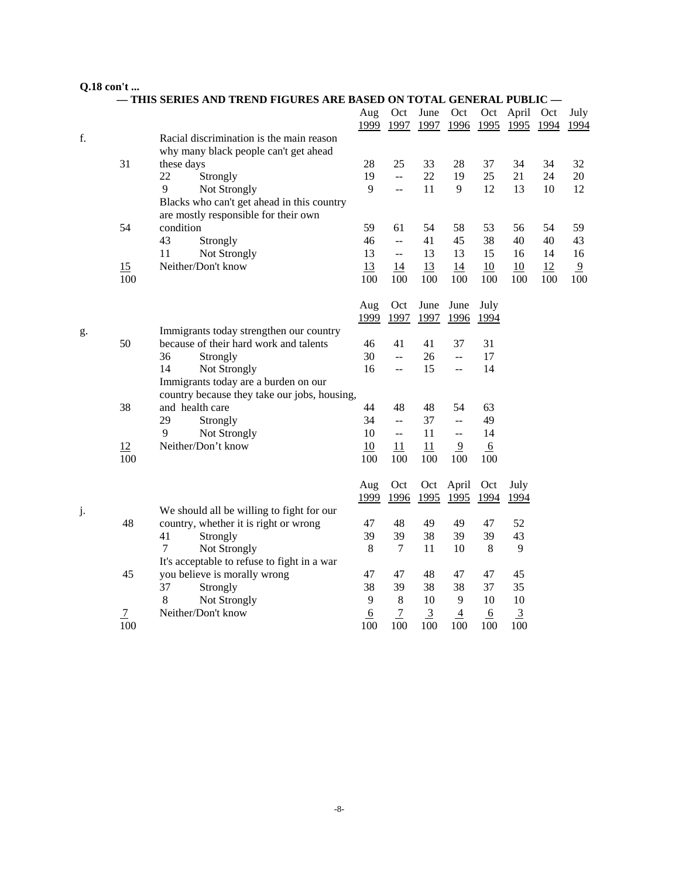#### **Q.18 con't ...**

#### **— THIS SERIES AND TREND FIGURES ARE BASED ON TOTAL GENERAL PUBLIC —**

|    |                |                                              | Aug<br>1999 | Oct<br>1997              | June<br>1997   | Oct<br>1996                                   | Oct<br>1995 | April<br>1995  | Oct<br>1994 | July<br>1994   |
|----|----------------|----------------------------------------------|-------------|--------------------------|----------------|-----------------------------------------------|-------------|----------------|-------------|----------------|
| f. |                | Racial discrimination is the main reason     |             |                          |                |                                               |             |                |             |                |
|    |                | why many black people can't get ahead        |             |                          |                |                                               |             |                |             |                |
|    | 31             | these days                                   | 28          | 25                       | 33             | 28                                            | 37          | 34             | 34          | 32             |
|    |                | 22<br>Strongly                               | 19          | u.                       | 22             | 19                                            | 25          | 21             | 24          | 20             |
|    |                | 9<br>Not Strongly                            | 9           | 44                       | 11             | 9                                             | 12          | 13             | 10          | 12             |
|    |                | Blacks who can't get ahead in this country   |             |                          |                |                                               |             |                |             |                |
|    |                | are mostly responsible for their own         |             |                          |                |                                               |             |                |             |                |
|    | 54             | condition                                    | 59          | 61                       | 54             | 58                                            | 53          | 56             | 54          | 59             |
|    |                | 43<br>Strongly                               | 46          | u.                       | 41             | 45                                            | 38          | 40             | 40          | 43             |
|    |                | 11<br>Not Strongly                           | 13          | $\overline{a}$           | 13             | 13                                            | 15          | 16             | 14          | 16             |
|    | 15             | Neither/Don't know                           | 13          | 14                       | 13             | 14                                            | 10          | 10             | 12          | $\overline{9}$ |
|    | 100            |                                              | 100         | 100                      | 100            | 100                                           | 100         | 100            | 100         | 100            |
|    |                |                                              | Aug         | Oct                      | June           | June                                          | July        |                |             |                |
|    |                |                                              | 1999        | 1997                     | 1997           | 1996                                          | 1994        |                |             |                |
| g. |                | Immigrants today strengthen our country      |             |                          |                |                                               |             |                |             |                |
|    | 50             | because of their hard work and talents       | 46          | 41                       | 41             | 37                                            | 31          |                |             |                |
|    |                | 36<br>Strongly                               | 30          | $\overline{a}$           | 26             | ΞĒ,                                           | 17          |                |             |                |
|    |                | 14<br>Not Strongly                           | 16          | $\overline{a}$           | 15             | $\mathord{\hspace{1pt}\text{--}\hspace{1pt}}$ | 14          |                |             |                |
|    |                | Immigrants today are a burden on our         |             |                          |                |                                               |             |                |             |                |
|    |                | country because they take our jobs, housing, |             |                          |                |                                               |             |                |             |                |
|    | 38             | and health care                              | 44          | 48                       | 48             | 54                                            | 63          |                |             |                |
|    |                | 29<br>Strongly                               | 34          | $\overline{a}$           | 37             | Ξ.                                            | 49          |                |             |                |
|    |                | Not Strongly<br>9                            | 10          | $\overline{\phantom{m}}$ | 11             | $\overline{\phantom{a}}$                      | 14          |                |             |                |
|    | 12             | Neither/Don't know                           | 10          | 11                       | 11             | $\overline{9}$                                | 6           |                |             |                |
|    | 100            |                                              | 100         | 100                      | 100            | 100                                           | 100         |                |             |                |
|    |                |                                              | Aug         | Oct                      | Oct            | April                                         | Oct         | July           |             |                |
|    |                |                                              | 1999        | 1996                     | 1995           | 1995                                          | 1994        | 1994           |             |                |
| j. |                | We should all be willing to fight for our    |             |                          |                |                                               |             |                |             |                |
|    | 48             | country, whether it is right or wrong        | 47          | 48                       | 49             | 49                                            | 47          | 52             |             |                |
|    |                | 41<br>Strongly                               | 39          | 39                       | 38             | 39                                            | 39          | 43             |             |                |
|    |                | $\tau$<br>Not Strongly                       | 8           | $\tau$                   | 11             | 10                                            | $\,8\,$     | 9              |             |                |
|    |                | It's acceptable to refuse to fight in a war  |             |                          |                |                                               |             |                |             |                |
|    | 45             | you believe is morally wrong                 | 47          | 47                       | 48             | 47                                            | 47          | 45             |             |                |
|    |                | 37<br>Strongly                               | 38          | 39                       | 38             | 38                                            | 37          | 35             |             |                |
|    |                | 8<br>Not Strongly                            | 9           | $\,8\,$                  | $10\,$         | $\overline{9}$                                | $10\,$      | $10\,$         |             |                |
|    | $\overline{1}$ | Neither/Don't know                           | 6           | $\overline{7}$           | $\overline{3}$ | $\overline{4}$                                | 6           | $\overline{3}$ |             |                |
|    | 100            |                                              | 100         | 100                      | 100            | 100                                           | 100         | 100            |             |                |

-8-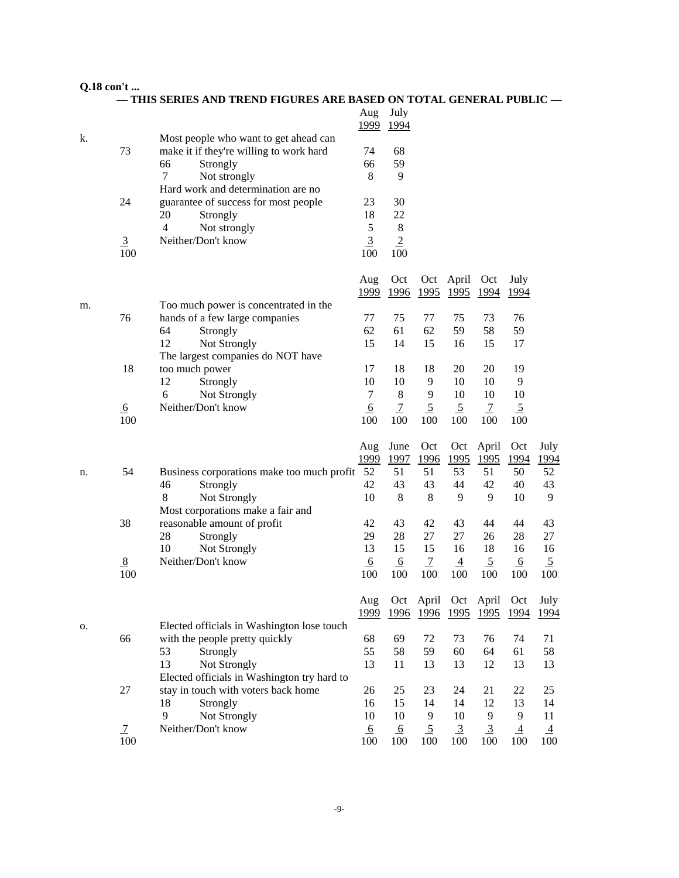#### **Q.18 con't ...**

#### **— THIS SERIES AND TREND FIGURES ARE BASED ON TOTAL GENERAL PUBLIC —**

|    |                       |                                                                                                                                | Aug<br>1999                  | July<br>1994                 |                             |                                 |                             |                              |                             |
|----|-----------------------|--------------------------------------------------------------------------------------------------------------------------------|------------------------------|------------------------------|-----------------------------|---------------------------------|-----------------------------|------------------------------|-----------------------------|
| k. | 73                    | Most people who want to get ahead can<br>make it if they're willing to work hard<br>Strongly<br>66<br>7<br>Not strongly        | 74<br>66<br>8                | 68<br>59<br>9                |                             |                                 |                             |                              |                             |
|    | 24                    | Hard work and determination are no<br>guarantee of success for most people<br>20<br>Strongly<br>$\overline{4}$<br>Not strongly | 23<br>18<br>$\sqrt{5}$       | 30<br>22<br>$\,8\,$          |                             |                                 |                             |                              |                             |
|    | $\overline{3}$<br>100 | Neither/Don't know                                                                                                             | $\overline{3}$<br>100        | $\overline{2}$<br>100        |                             |                                 |                             |                              |                             |
| m. |                       | Too much power is concentrated in the                                                                                          | Aug<br><u> 1999 </u>         | Oct<br>1996                  |                             | Oct April Oct<br>1995 1995 1994 |                             | July<br>1994                 |                             |
|    | 76                    | hands of a few large companies<br>64<br>Strongly<br>12<br>Not Strongly                                                         | 77<br>62<br>15               | 75<br>61<br>14               | 77<br>62<br>15              | 75<br>59<br>16                  | 73<br>58<br>15              | 76<br>59<br>17               |                             |
|    | 18                    | The largest companies do NOT have<br>too much power<br>12<br>Strongly                                                          | 17<br>10                     | 18<br>10                     | 18<br>9                     | 20<br>10                        | 20<br>10                    | 19<br>9                      |                             |
|    | $6\overline{6}$       | 6<br>Not Strongly<br>Neither/Don't know                                                                                        | $\boldsymbol{7}$<br>6        | $\,8\,$<br>$\overline{1}$    | 9<br>$\overline{5}$         | 10<br>$\overline{5}$            | 10<br>$\overline{1}$        | 10<br>$\overline{5}$         |                             |
|    | 100                   |                                                                                                                                | 100                          | 100                          | 100                         | 100                             | 100                         | 100                          |                             |
|    |                       |                                                                                                                                | Aug<br>1999                  | June<br>1997                 | Oct<br>1996                 | Oct<br>1995                     | April<br>1995               | Oct<br>1994                  | July<br>1994                |
| n. | 54                    | Business corporations make too much profit<br>Strongly<br>46<br>Not Strongly<br>8                                              | 52<br>42<br>10               | 51<br>43<br>$\,8\,$          | 51<br>43<br>8               | 53<br>44<br>9                   | 51<br>42<br>9               | 50<br>40<br>10               | 52<br>43<br>9               |
|    | 38                    | Most corporations make a fair and<br>reasonable amount of profit<br>28<br>Strongly                                             | 42<br>29                     | 43<br>28                     | 42<br>27                    | 43<br>27                        | 44<br>26                    | 44<br>28                     | 43<br>27                    |
|    | 8<br>100              | 10<br>Not Strongly<br>Neither/Don't know                                                                                       | 13<br>$6\overline{6}$<br>100 | 15<br>$6\overline{6}$<br>100 | 15<br>$\overline{1}$<br>100 | 16<br>$\overline{4}$<br>100     | 18<br>$\overline{5}$<br>100 | 16<br>$6 \overline{}$<br>100 | 16<br>$\overline{5}$<br>100 |
|    |                       |                                                                                                                                | Aug<br>1999                  | Oct<br>1996                  | April                       | <u>1996</u> 1995 1995           | Oct April                   | Oct<br><u> 1994</u>          | July<br>1994                |
| о. | 66                    | Elected officials in Washington lose touch<br>with the people pretty quickly<br>53<br>Strongly<br>13<br>Not Strongly           | 68<br>55<br>13               | 69<br>58<br>11               | 72<br>59<br>13              | 73<br>60<br>13                  | 76<br>64<br>12              | 74<br>61<br>13               | 71<br>58<br>13              |
|    | 27                    | Elected officials in Washington try hard to<br>stay in touch with voters back home<br>18<br>Strongly<br>9<br>Not Strongly      | 26<br>16<br>10               | 25<br>15<br>10               | 23<br>14<br>9               | 24<br>14<br>10                  | 21<br>12<br>9               | 22<br>13<br>9                | 25<br>14<br>11              |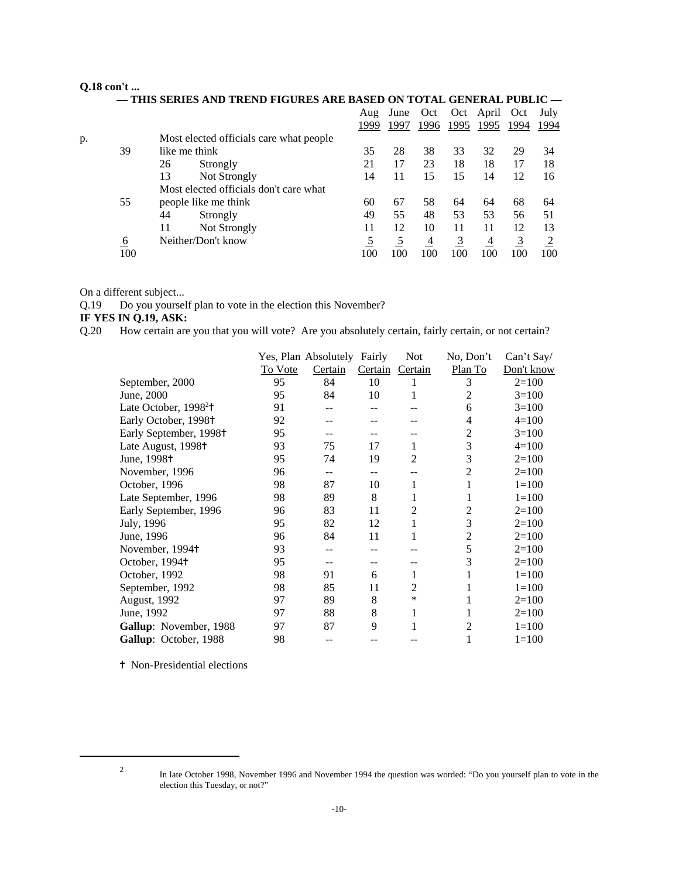| Q.18 con't |  |  |
|------------|--|--|
|------------|--|--|

|    | $\mathbf{v}$ and $\mathbf{v}$ are $\mathbf{v}$ |                                                                   |      |      |      |      |           |                |      |
|----|------------------------------------------------|-------------------------------------------------------------------|------|------|------|------|-----------|----------------|------|
|    |                                                | - THIS SERIES AND TREND FIGURES ARE BASED ON TOTAL GENERAL PUBLIC |      |      |      |      |           |                |      |
|    |                                                |                                                                   | Aug  | June | Oct  | Oct  | April Oct |                | July |
|    |                                                |                                                                   | 1999 | 1997 | 1996 | 1995 | 1995      | 1994           | 1994 |
| p. |                                                | Most elected officials care what people                           |      |      |      |      |           |                |      |
|    | 39                                             | like me think                                                     | 35   | 28   | 38   | 33   | 32        | 29             | 34   |
|    |                                                | 26<br>Strongly                                                    | 21   | 17   | 23   | 18   | 18        | 17             | 18   |
|    |                                                | Not Strongly<br>13                                                | 14   | 11   | 15   | 15   | 14        | 12             | 16   |
|    |                                                | Most elected officials don't care what                            |      |      |      |      |           |                |      |
|    | 55                                             | people like me think                                              | 60   | 67   | 58   | 64   | 64        | 68             | 64   |
|    |                                                | 44<br>Strongly                                                    | 49   | 55   | 48   | 53   | 53        | 56             | 51   |
|    |                                                | Not Strongly<br>11                                                | 11   | 12   | 10   | 11   | 11        | 12             | 13   |
|    | 6                                              | Neither/Don't know                                                |      |      | 4    | 3    | 4         | $\overline{3}$ |      |
|    | 100                                            |                                                                   | 100  | 100  | 100  | 100  | 100       | 100            | 100  |

On a different subject...

Q.19 Do you yourself plan to vote in the election this November?

#### **IF YES IN Q.19, ASK:**

Q.20 How certain are you that you will vote? Are you absolutely certain, fairly certain, or not certain?

|                                     |         | Yes, Plan Absolutely Fairly |         | <b>Not</b>     | No, Don't      | Can't Say/ |
|-------------------------------------|---------|-----------------------------|---------|----------------|----------------|------------|
|                                     | To Vote | Certain                     | Certain | Certain        | Plan To        | Don't know |
| September, 2000                     | 95      | 84                          | 10      |                | 3              | $2=100$    |
| June, 2000                          | 95      | 84                          | 10      | 1              | 2              | $3=100$    |
| Late October, $1998^2$ <sup>+</sup> | 91      |                             |         |                | 6              | $3=100$    |
| Early October, 1998 <sup>+</sup>    | 92      |                             |         |                | 4              | $4=100$    |
| Early September, 1998 <sup>†</sup>  | 95      |                             |         |                | $\overline{c}$ | $3=100$    |
| Late August, 1998 <sup>+</sup>      | 93      | 75                          | 17      | 1              | 3              | $4=100$    |
| June, 1998 <sup>+</sup>             | 95      | 74                          | 19      | 2              | 3              | $2=100$    |
| November, 1996                      | 96      | --                          | --      |                | $\overline{2}$ | $2=100$    |
| October, 1996                       | 98      | 87                          | 10      | 1              | $\mathbf{1}$   | $1=100$    |
| Late September, 1996                | 98      | 89                          | 8       | 1              | 1              | $1=100$    |
| Early September, 1996               | 96      | 83                          | 11      | $\overline{2}$ | $\overline{2}$ | $2=100$    |
| July, 1996                          | 95      | 82                          | 12      | 1              | 3              | $2=100$    |
| June, 1996                          | 96      | 84                          | 11      |                | $\overline{c}$ | $2=100$    |
| November, 1994 <sup>†</sup>         | 93      |                             |         |                | 5              | $2=100$    |
| October, 1994 <sup>+</sup>          | 95      |                             |         |                | 3              | $2=100$    |
| October, 1992                       | 98      | 91                          | 6       | 1              | 1              | $1 = 100$  |
| September, 1992                     | 98      | 85                          | 11      | 2              |                | $1=100$    |
| August, 1992                        | 97      | 89                          | 8       | $\ast$         | 1              | $2=100$    |
| June, 1992                          | 97      | 88                          | 8       | 1              |                | $2=100$    |
| Gallup: November, 1988              | 97      | 87                          | 9       |                | 2              | $1 = 100$  |
| Gallup: October, 1988               | 98      | --                          |         |                | 1              | $1 = 100$  |

<sup> $\dagger$ </sup> Non-Presidential elections

<sup>2</sup> In late October 1998, November 1996 and November 1994 the question was worded: "Do you yourself plan to vote in the election this Tuesday, or not?"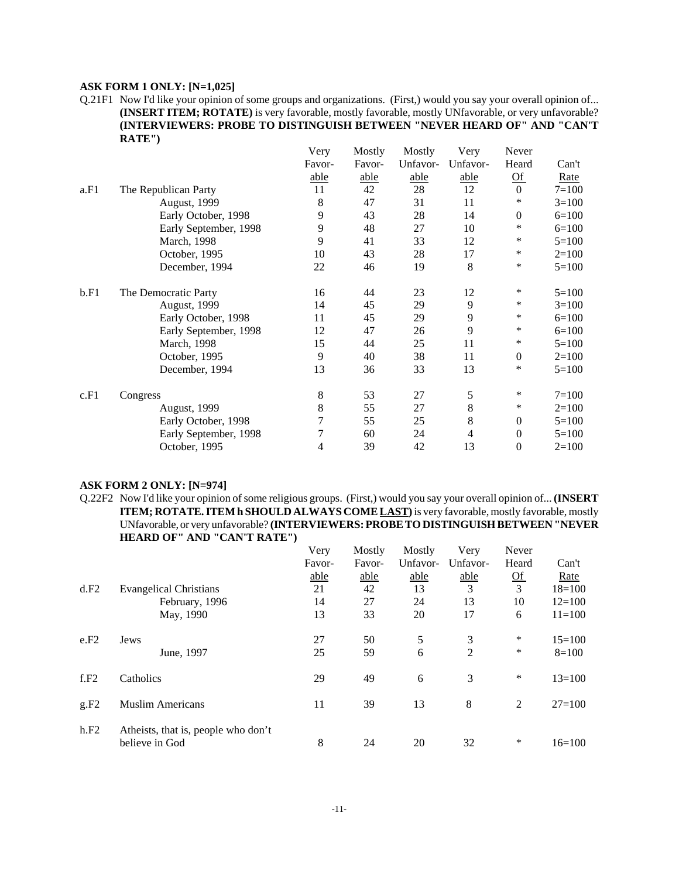#### **ASK FORM 1 ONLY: [N=1,025]**

Q.21F1 Now I'd like your opinion of some groups and organizations. (First,) would you say your overall opinion of... **(INSERT ITEM; ROTATE)** is very favorable, mostly favorable, mostly UNfavorable, or very unfavorable? **(INTERVIEWERS: PROBE TO DISTINGUISH BETWEEN "NEVER HEARD OF" AND "CAN'T RATE")**

|      |                       | Very   | Mostly | Mostly   | Very           | Never          |           |
|------|-----------------------|--------|--------|----------|----------------|----------------|-----------|
|      |                       | Favor- | Favor- | Unfavor- | Unfavor-       | Heard          | Can't     |
|      |                       | able   | able   | able     | <u>able</u>    | Qf             | Rate      |
| a.F1 | The Republican Party  | 11     | 42     | 28       | 12             | $\theta$       | $7 = 100$ |
|      | August, 1999          | 8      | 47     | 31       | 11             | *              | $3=100$   |
|      | Early October, 1998   | 9      | 43     | 28       | 14             | $\Omega$       | $6=100$   |
|      | Early September, 1998 | 9      | 48     | 27       | 10             | ∗              | $6=100$   |
|      | <b>March</b> , 1998   | 9      | 41     | 33       | 12             | *              | $5=100$   |
|      | October, 1995         | 10     | 43     | 28       | 17             | *              | $2=100$   |
|      | December, 1994        | 22     | 46     | 19       | 8              | *              | $5=100$   |
| b.F1 | The Democratic Party  | 16     | 44     | 23       | 12             | *              | $5=100$   |
|      | <b>August, 1999</b>   | 14     | 45     | 29       | 9              | ∗              | $3=100$   |
|      | Early October, 1998   | 11     | 45     | 29       | 9              | ∗              | $6=100$   |
|      | Early September, 1998 | 12     | 47     | 26       | 9              | *              | $6=100$   |
|      | <b>March</b> , 1998   | 15     | 44     | 25       | 11             | *              | $5=100$   |
|      | October, 1995         | 9      | 40     | 38       | 11             | $\overline{0}$ | $2=100$   |
|      | December, 1994        | 13     | 36     | 33       | 13             | *              | $5=100$   |
| c.F1 | Congress              | 8      | 53     | 27       | 5              | ∗              | $7 = 100$ |
|      | <b>August, 1999</b>   | 8      | 55     | 27       | 8              | *              | $2=100$   |
|      | Early October, 1998   | 7      | 55     | 25       | $\,8$          | $\overline{0}$ | $5=100$   |
|      | Early September, 1998 | 7      | 60     | 24       | $\overline{4}$ | $\Omega$       | $5=100$   |
|      | October, 1995         | 4      | 39     | 42       | 13             | $\theta$       | $2=100$   |

#### **ASK FORM 2 ONLY: [N=974]**

Q.22F2 Now I'd like your opinion of some religious groups. (First,) would you say your overall opinion of... **(INSERT ITEM; ROTATE. ITEM h SHOULD ALWAYS COME LAST)** is very favorable, mostly favorable, mostly UNfavorable, or very unfavorable? **(INTERVIEWERS: PROBE TO DISTINGUISH BETWEEN "NEVER HEARD OF" AND "CAN'T RATE")**

|      |                                                       | Very   | Mostly | Mostly   | Very           | Never          |            |
|------|-------------------------------------------------------|--------|--------|----------|----------------|----------------|------------|
|      |                                                       | Favor- | Favor- | Unfavor- | Unfavor-       | Heard          | Can't      |
|      |                                                       | able   | able   | able     | able           | $\frac{Of}{3}$ | Rate       |
| d.F2 | <b>Evangelical Christians</b>                         | 21     | 42     | 13       | 3              |                | $18=100$   |
|      | February, 1996                                        | 14     | 27     | 24       | 13             | 10             | $12=100$   |
|      | May, 1990                                             | 13     | 33     | 20       | 17             | 6              | $11=100$   |
| e.F2 | Jews                                                  | 27     | 50     | 5        | 3              | $\ast$         | $15=100$   |
|      | June, 1997                                            | 25     | 59     | 6        | $\overline{c}$ | $\ast$         | $8=100$    |
| f.F2 | Catholics                                             | 29     | 49     | 6        | 3              | ∗              | $13 = 100$ |
| g.F2 | <b>Muslim Americans</b>                               | 11     | 39     | 13       | 8              | $\overline{2}$ | $27 = 100$ |
| h.F2 | Atheists, that is, people who don't<br>believe in God | 8      | 24     | 20       | 32             | ∗              | $16=100$   |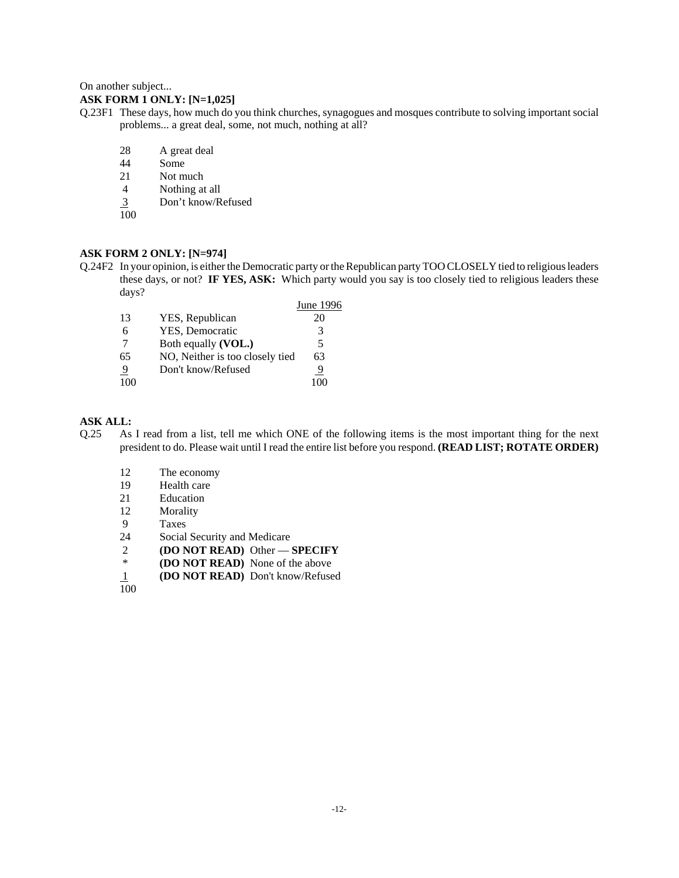#### On another subject...

#### **ASK FORM 1 ONLY: [N=1,025]**

- Q.23F1 These days, how much do you think churches, synagogues and mosques contribute to solving important social problems... a great deal, some, not much, nothing at all?
	- 28 A great deal
	- 44 Some
	- 21 Not much<br>4 Nothing at
	- Nothing at all
	- 3 Don't know/Refused
	- 100

#### **ASK FORM 2 ONLY: [N=974]**

Q.24F2 In your opinion, is either the Democratic party or the Republican party TOO CLOSELY tied to religious leaders these days, or not? **IF YES, ASK:** Which party would you say is too closely tied to religious leaders these days?

|                |                                 | June 1996 |
|----------------|---------------------------------|-----------|
| 13             | YES, Republican                 | 20        |
| 6              | YES, Democratic                 | 3         |
|                | Both equally (VOL.)             | 5         |
| 65             | NO, Neither is too closely tied | 63        |
| $\overline{9}$ | Don't know/Refused              | 9         |
| $100 -$        |                                 | 100       |

# **ASK ALL:**

- Q.25 As I read from a list, tell me which ONE of the following items is the most important thing for the next president to do. Please wait until I read the entire list before you respond. **(READ LIST; ROTATE ORDER)**
	- 12 The economy<br>19 Health care
	- Health care
	- 21 Education
	- 12 Morality
	- 9 Taxes<br>24 Social
	- 24 Social Security and Medicare<br>2 (**DO NOT READ**) Other -
	- 2 **(DO NOT READ)** Other **SPECIFY**
	- \* **(DO NOT READ)** None of the above
	- 1 **(DO NOT READ)** Don't know/Refused
	- $\frac{1}{100}$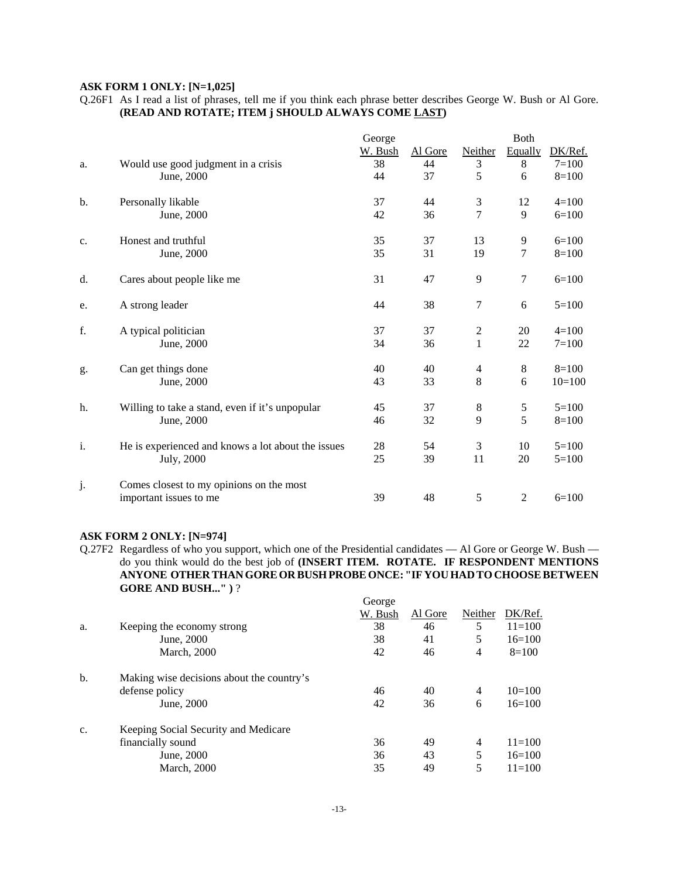## **ASK FORM 1 ONLY: [N=1,025]**

| Q.26F1 As I read a list of phrases, tell me if you think each phrase better describes George W. Bush or Al Gore. |  |
|------------------------------------------------------------------------------------------------------------------|--|
| (READ AND ROTATE; ITEM J SHOULD ALWAYS COME LAST)                                                                |  |

|                |                                                    | George  |         |                | Both           |           |
|----------------|----------------------------------------------------|---------|---------|----------------|----------------|-----------|
|                |                                                    | W. Bush | Al Gore | Neither        | Equally        | DK/Ref.   |
| a.             | Would use good judgment in a crisis                | 38      | 44      | 3              | 8              | $7=100$   |
|                | June, 2000                                         | 44      | 37      | 5              | 6              | $8=100$   |
| b.             | Personally likable                                 | 37      | 44      | 3              | 12             | $4 = 100$ |
|                | June, 2000                                         | 42      | 36      | $\overline{7}$ | 9              | $6=100$   |
| c.             | Honest and truthful                                | 35      | 37      | 13             | 9              | $6=100$   |
|                | June, 2000                                         | 35      | 31      | 19             | 7              | $8=100$   |
| d.             | Cares about people like me                         | 31      | 47      | 9              | 7              | $6=100$   |
| e.             | A strong leader                                    | 44      | 38      | 7              | 6              | $5=100$   |
| f.             | A typical politician                               | 37      | 37      | $\overline{c}$ | 20             | $4 = 100$ |
|                | June, 2000                                         | 34      | 36      | $\mathbf{1}$   | 22             | $7 = 100$ |
| g.             | Can get things done                                | 40      | 40      | 4              | $\,8\,$        | $8=100$   |
|                | June, 2000                                         | 43      | 33      | $8\,$          | 6              | $10=100$  |
| h.             | Willing to take a stand, even if it's unpopular    | 45      | 37      | $\,8$          | $\mathfrak s$  | $5=100$   |
|                | June, 2000                                         | 46      | 32      | 9              | 5              | $8=100$   |
| $\mathbf{i}$ . | He is experienced and knows a lot about the issues | 28      | 54      | 3              | 10             | $5=100$   |
|                | July, 2000                                         | 25      | 39      | 11             | 20             | $5=100$   |
| j.             | Comes closest to my opinions on the most           |         |         |                |                |           |
|                | important issues to me                             | 39      | 48      | 5              | $\mathfrak{2}$ | $6=100$   |

#### **ASK FORM 2 ONLY: [N=974]**

Q.27F2 Regardless of who you support, which one of the Presidential candidates — Al Gore or George W. Bush do you think would do the best job of **(INSERT ITEM. ROTATE. IF RESPONDENT MENTIONS ANYONE OTHER THAN GORE OR BUSH PROBE ONCE: "IF YOU HAD TO CHOOSE BETWEEN GORE AND BUSH..." )** ?

|                |                                           | George  |         |         |            |
|----------------|-------------------------------------------|---------|---------|---------|------------|
|                |                                           | W. Bush | Al Gore | Neither | DK/Ref.    |
| a.             | Keeping the economy strong                | 38      | 46      | 5       | $11 = 100$ |
|                | June, 2000                                | 38      | 41      | 5       | $16=100$   |
|                | <b>March</b> , 2000                       | 42      | 46      | 4       | $8=100$    |
| $b$            | Making wise decisions about the country's |         |         |         |            |
|                | defense policy                            | 46      | 40      | 4       | $10=100$   |
|                | June, 2000                                | 42      | 36      | 6       | $16=100$   |
| $\mathbf{c}$ . | Keeping Social Security and Medicare      |         |         |         |            |
|                | financially sound                         | 36      | 49      | 4       | $11 = 100$ |
|                | June, 2000                                | 36      | 43      | 5       | $16=100$   |
|                | <b>March</b> , 2000                       | 35      | 49      | 5       | $11 = 100$ |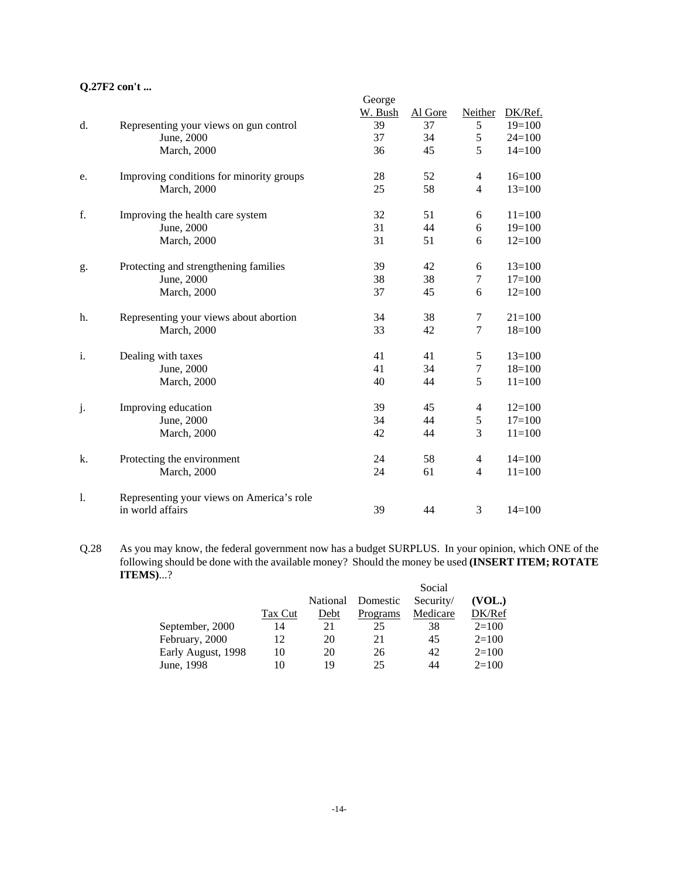# **Q.27F2 con't ...**

|    |                                           | George  |         |                |            |
|----|-------------------------------------------|---------|---------|----------------|------------|
|    |                                           | W. Bush | Al Gore | Neither        | DK/Ref.    |
| d. | Representing your views on gun control    | 39      | 37      | 5              | $19=100$   |
|    | June, 2000                                | 37      | 34      | 5              | $24=100$   |
|    | <b>March</b> , 2000                       | 36      | 45      | 5              | $14=100$   |
| e. | Improving conditions for minority groups  | 28      | 52      | 4              | $16=100$   |
|    | March, 2000                               | 25      | 58      | $\overline{4}$ | $13=100$   |
| f. | Improving the health care system          | 32      | 51      | 6              | $11=100$   |
|    | June, 2000                                | 31      | 44      | 6              | $19=100$   |
|    | March, 2000                               | 31      | 51      | 6              | $12=100$   |
| g. | Protecting and strengthening families     | 39      | 42      | 6              | $13=100$   |
|    | June, 2000                                | 38      | 38      | 7              | $17=100$   |
|    | March, 2000                               | 37      | 45      | 6              | $12=100$   |
| h. | Representing your views about abortion    | 34      | 38      | 7              | $21 = 100$ |
|    | March, 2000                               | 33      | 42      | $\tau$         | $18=100$   |
| i. | Dealing with taxes                        | 41      | 41      | 5              | $13=100$   |
|    | June, 2000                                | 41      | 34      | $\tau$         | $18=100$   |
|    | March, 2000                               | 40      | 44      | 5              | $11 = 100$ |
| j. | Improving education                       | 39      | 45      | 4              | $12=100$   |
|    | June, 2000                                | 34      | 44      | $\sqrt{5}$     | $17=100$   |
|    | March, 2000                               | 42      | 44      | 3              | $11 = 100$ |
| k. | Protecting the environment                | 24      | 58      | $\overline{4}$ | $14=100$   |
|    | March, 2000                               | 24      | 61      | $\overline{4}$ | $11 = 100$ |
| 1. | Representing your views on America's role |         |         |                |            |
|    | in world affairs                          | 39      | 44      | 3              | $14=100$   |

Q.28 As you may know, the federal government now has a budget SURPLUS. In your opinion, which ONE of the following should be done with the available money? Should the money be used **(INSERT ITEM; ROTATE ITEMS)**...?

|                    |         |          |          | Social    |         |
|--------------------|---------|----------|----------|-----------|---------|
|                    |         | National | Domestic | Security/ | (VOL.)  |
|                    | Tax Cut | Debt     | Programs | Medicare  | DK/Ref  |
| September, 2000    | 14      | 21       | 25       | 38        | $2=100$ |
| February, 2000     | 12      | 20       | 21       | 45        | $2=100$ |
| Early August, 1998 | 10      | 20       | 26       | 42        | $2=100$ |
| June, 1998         | 10      | 19       | 25       | 44        | $2=100$ |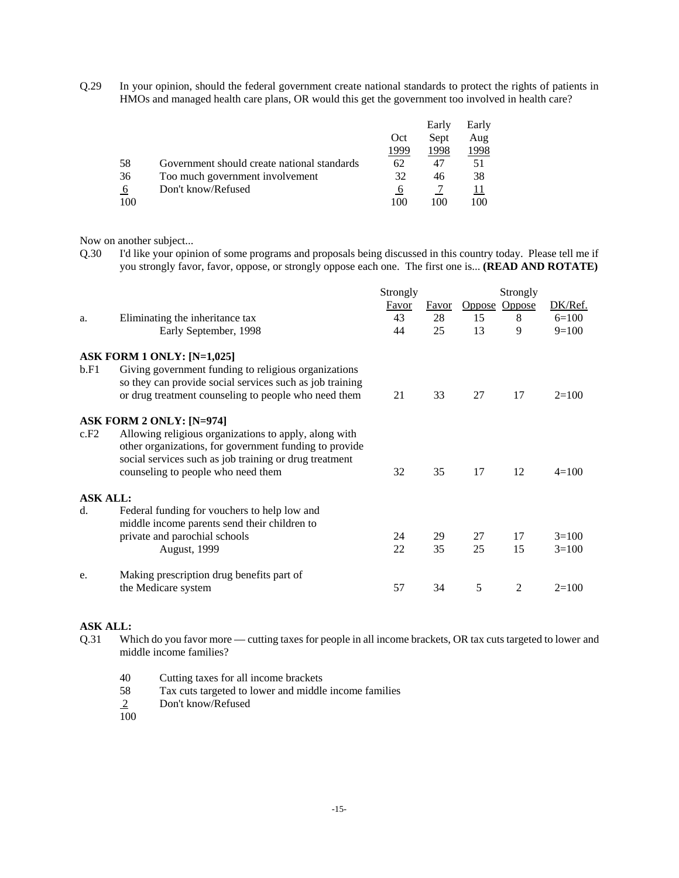Q.29 In your opinion, should the federal government create national standards to protect the rights of patients in HMOs and managed health care plans, OR would this get the government too involved in health care?

|     |                                             |      | Early | Early |
|-----|---------------------------------------------|------|-------|-------|
|     |                                             | Oct  | Sept  | Aug   |
|     |                                             | 1999 | 1998  | .998  |
| 58  | Government should create national standards | 62   | 47    | 51    |
| 36  | Too much government involvement             | 32   | 46    | 38    |
| -6  | Don't know/Refused                          |      |       | 11    |
| 100 |                                             | 100  | 100   | 100   |

Now on another subject...

Q.30 I'd like your opinion of some programs and proposals being discussed in this country today. Please tell me if you strongly favor, favor, oppose, or strongly oppose each one. The first one is... **(READ AND ROTATE)**

|                 |                                                                                                                                                                                                               | Strongly<br>Favor | Favor | Oppose Oppose | Strongly | DK/Ref. |
|-----------------|---------------------------------------------------------------------------------------------------------------------------------------------------------------------------------------------------------------|-------------------|-------|---------------|----------|---------|
| a.              | Eliminating the inheritance tax                                                                                                                                                                               | 43                | 28    | 15            | 8        | $6=100$ |
|                 | Early September, 1998                                                                                                                                                                                         | 44                | 25    | 13            | 9        | $9=100$ |
| b.F1            | <b>ASK FORM 1 ONLY: [N=1,025]</b><br>Giving government funding to religious organizations<br>so they can provide social services such as job training<br>or drug treatment counseling to people who need them | 21                | 33    | 27            | 17       | $2=100$ |
| c.F2            | ASK FORM 2 ONLY: [N=974]<br>Allowing religious organizations to apply, along with<br>other organizations, for government funding to provide<br>social services such as job training or drug treatment         |                   |       |               |          |         |
|                 | counseling to people who need them                                                                                                                                                                            | 32                | 35    | 17            | 12       | $4=100$ |
| <b>ASK ALL:</b> |                                                                                                                                                                                                               |                   |       |               |          |         |
| d.              | Federal funding for vouchers to help low and<br>middle income parents send their children to                                                                                                                  |                   |       |               |          |         |
|                 | private and parochial schools                                                                                                                                                                                 | 24                | 29    | 27            | 17       | $3=100$ |
|                 | August, 1999                                                                                                                                                                                                  | 22                | 35    | 25            | 15       | $3=100$ |
| e.              | Making prescription drug benefits part of                                                                                                                                                                     |                   |       |               |          |         |
|                 | the Medicare system                                                                                                                                                                                           | 57                | 34    | 5             | 2        | $2=100$ |

#### **ASK ALL:**

- Q.31 Which do you favor more cutting taxes for people in all income brackets, OR tax cuts targeted to lower and middle income families?
	- 40 Cutting taxes for all income brackets<br>58 Tax cuts targeted to lower and middle
	- Tax cuts targeted to lower and middle income families
	- 2 Don't know/Refused  $rac{2}{100}$
	-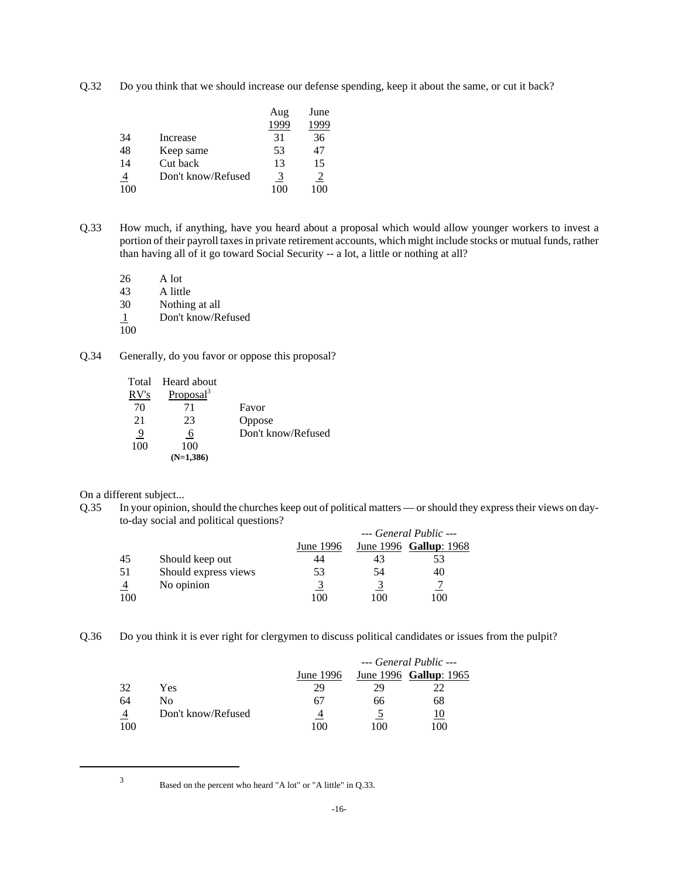Q.32 Do you think that we should increase our defense spending, keep it about the same, or cut it back?

|                |                    | Aug  | June |
|----------------|--------------------|------|------|
|                |                    | 1999 | 999  |
| 34             | Increase           | 31   | 36   |
| 48             | Keep same          | 53   | 47   |
| 14             | Cut back           | 13   | 15   |
| $\overline{4}$ | Don't know/Refused | 3    | 2    |
| 100            |                    | 100  | 100  |

Q.33 How much, if anything, have you heard about a proposal which would allow younger workers to invest a portion of their payroll taxes in private retirement accounts, which might include stocks or mutual funds, rather than having all of it go toward Social Security -- a lot, a little or nothing at all?

26 A lot 43 A little<br>30 Nothing Nothing at all 1 Don't know/Refused 100

Q.34 Generally, do you favor or oppose this proposal?

| Total          | - Heard about         |                    |
|----------------|-----------------------|--------------------|
| RVs            | Proposal <sup>3</sup> |                    |
| 70             | 71                    | Favor              |
| 21             | 23                    | Oppose             |
| $\overline{9}$ | 6                     | Don't know/Refused |
| 100            | 100                   |                    |
|                | $(N=1,386)$           |                    |

On a different subject...

Q.35 In your opinion, should the churches keep out of political matters — or should they express their views on dayto-day social and political questions?

|     |                      |           |     | --- General Public --- |
|-----|----------------------|-----------|-----|------------------------|
|     |                      | June 1996 |     | June 1996 Gallup: 1968 |
| 45  | Should keep out      | 44        | 43  | 53                     |
| .51 | Should express views | 53        | 54  | 40                     |
| 4   | No opinion           |           |     |                        |
| 100 |                      | 100       | 100 | 100                    |
|     |                      |           |     |                        |

Q.36 Do you think it is ever right for clergymen to discuss political candidates or issues from the pulpit?

|     |                    |           | --- General Public --- |                        |
|-----|--------------------|-----------|------------------------|------------------------|
|     |                    | June 1996 |                        | June 1996 Gallup: 1965 |
| 32  | Yes                | 29        | 29                     |                        |
| 64  | No                 | 67        | 66                     | 68                     |
| -4  | Don't know/Refused | 4         |                        | 10                     |
| 100 |                    | 100       | 100                    | 0 <sup>0</sup>         |

<sup>3</sup> Based on the percent who heard "A lot" or "A little" in Q.33.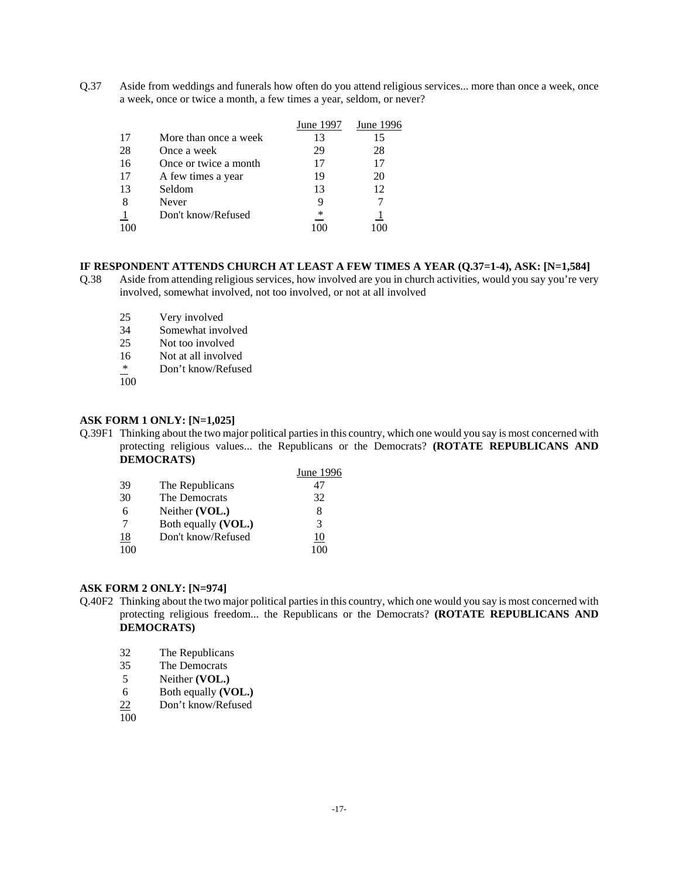Q.37 Aside from weddings and funerals how often do you attend religious services... more than once a week, once a week, once or twice a month, a few times a year, seldom, or never?

|     |                       | June 1997 | June 1996 |
|-----|-----------------------|-----------|-----------|
| 17  | More than once a week | 13        | 15        |
| 28  | Once a week           | 29        | 28        |
| 16  | Once or twice a month | 17        | 17        |
| 17  | A few times a year    | 19        | 20        |
| 13  | Seldom                | 13        | 12        |
| 8   | Never                 |           |           |
|     | Don't know/Refused    | ∗         |           |
| 100 |                       |           |           |

#### **IF RESPONDENT ATTENDS CHURCH AT LEAST A FEW TIMES A YEAR (Q.37=1-4), ASK: [N=1,584]**

- Q.38 Aside from attending religious services, how involved are you in church activities, would you say you're very involved, somewhat involved, not too involved, or not at all involved
	- 25 Very involved
	- 34 Somewhat involved
	- 25 Not too involved
	- 16 Not at all involved
	- \* Don't know/Refused
	- 100

#### **ASK FORM 1 ONLY: [N=1,025]**

Q.39F1 Thinking about the two major political parties in this country, which one would you say is most concerned with protecting religious values... the Republicans or the Democrats? **(ROTATE REPUBLICANS AND DEMOCRATS)**

|           |                     | June 1996 |
|-----------|---------------------|-----------|
| 39        | The Republicans     | 47        |
| 30        | The Democrats       | 32        |
| 6         | Neither (VOL.)      | 8         |
|           | Both equally (VOL.) | 3         |
| <u>18</u> | Don't know/Refused  | 10        |
|           |                     |           |

#### **ASK FORM 2 ONLY: [N=974]**

- Q.40F2 Thinking about the two major political parties in this country, which one would you say is most concerned with protecting religious freedom... the Republicans or the Democrats? **(ROTATE REPUBLICANS AND DEMOCRATS)**
	- 32 The Republicans
	- 35 The Democrats
	- 5 Neither **(VOL.)**
	- 6 Both equally **(VOL.)**
	- 22 Don't know/Refused
	- 100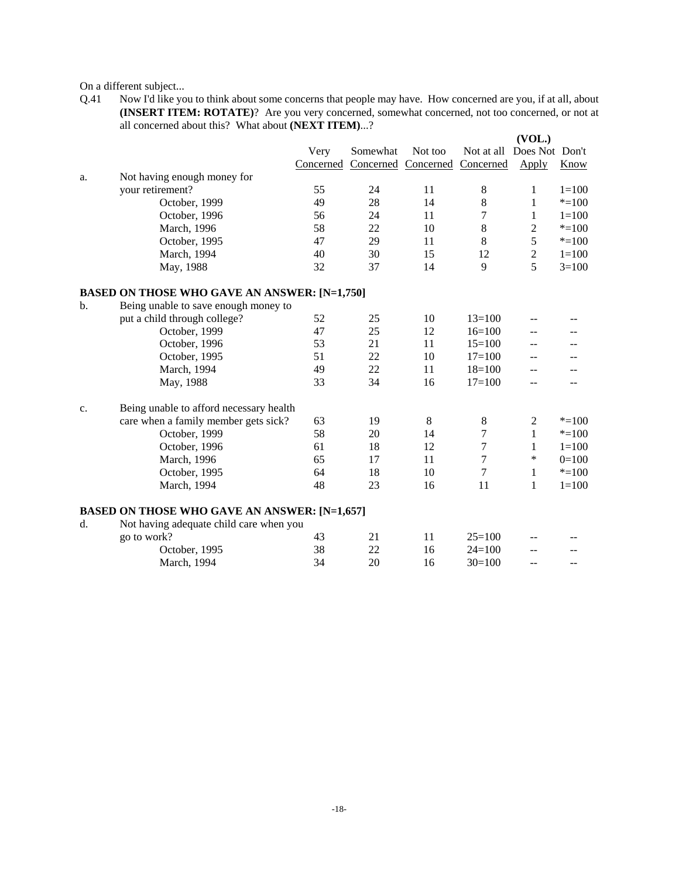On a different subject...

Q.41 Now I'd like you to think about some concerns that people may have. How concerned are you, if at all, about **(INSERT ITEM: ROTATE)**? Are you very concerned, somewhat concerned, not too concerned, or not at all concerned about this? What about **(NEXT ITEM)**...?

|       |                                                     |           |           |           |                           | (VOL.)         |             |
|-------|-----------------------------------------------------|-----------|-----------|-----------|---------------------------|----------------|-------------|
|       |                                                     | Very      | Somewhat  | Not too   | Not at all Does Not Don't |                |             |
|       |                                                     | Concerned | Concerned | Concerned | Concerned                 | Apply          | <b>Know</b> |
| a.    | Not having enough money for                         |           |           |           |                           |                |             |
|       | your retirement?                                    | 55        | 24        | 11        | 8                         | 1              | $1 = 100$   |
|       | October, 1999                                       | 49        | 28        | 14        | 8                         | 1              | $* = 100$   |
|       | October, 1996                                       | 56        | 24        | 11        | 7                         | 1              | $1 = 100$   |
|       | March, 1996                                         | 58        | 22        | 10        | 8                         | $\overline{c}$ | $* = 100$   |
|       | October, 1995                                       | 47        | 29        | 11        | 8                         | 5              | $* = 100$   |
|       | March, 1994                                         | 40        | 30        | 15        | 12                        | $\overline{c}$ | $1 = 100$   |
|       | May, 1988                                           | 32        | 37        | 14        | $\mathbf{Q}$              | 5              | $3=100$     |
|       | <b>BASED ON THOSE WHO GAVE AN ANSWER: [N=1,750]</b> |           |           |           |                           |                |             |
| $b$ . | Being unable to save enough money to                |           |           |           |                           |                |             |
|       | put a child through college?                        | 52        | 25        | 10        | $13=100$                  |                |             |
|       | October, 1999                                       | 47        | 25        | 12        | $16=100$                  |                |             |
|       | October, 1996                                       | 53        | 21        | 11        | $15=100$                  |                |             |
|       | October, 1995                                       | 51        | 22        | 10        | $17=100$                  |                |             |
|       | March, 1994                                         | 49        | 22        | 11        | $18=100$                  | --             |             |
|       | May, 1988                                           | 33        | 34        | 16        | $17=100$                  | --             |             |
| c.    | Being unable to afford necessary health             |           |           |           |                           |                |             |
|       | care when a family member gets sick?                | 63        | 19        | 8         | $\,8\,$                   | 2              | $* = 100$   |
|       | October, 1999                                       | 58        | 20        | 14        | 7                         | $\mathbf{1}$   | $* = 100$   |
|       | October, 1996                                       | 61        | 18        | 12        | 7                         | 1              | $1 = 100$   |
|       | March, 1996                                         | 65        | 17        | 11        | 7                         | *              | $0=100$     |
|       | October, 1995                                       | 64        | 18        | 10        | 7                         | 1              | $* = 100$   |
|       | March, 1994                                         | 48        | 23        | 16        | 11                        | 1              | $1=100$     |
|       | <b>BASED ON THOSE WHO GAVE AN ANSWER: [N=1,657]</b> |           |           |           |                           |                |             |
| d.    | Not having adequate child care when you             |           |           |           |                           |                |             |
|       | go to work?                                         | 43        | 21        | 11        | $25=100$                  |                |             |
|       | October, 1995                                       | 38        | 22        | 16        | $24=100$                  |                |             |
|       | March, 1994                                         | 34        | 20        | 16        | $30=100$                  | $\sim$         |             |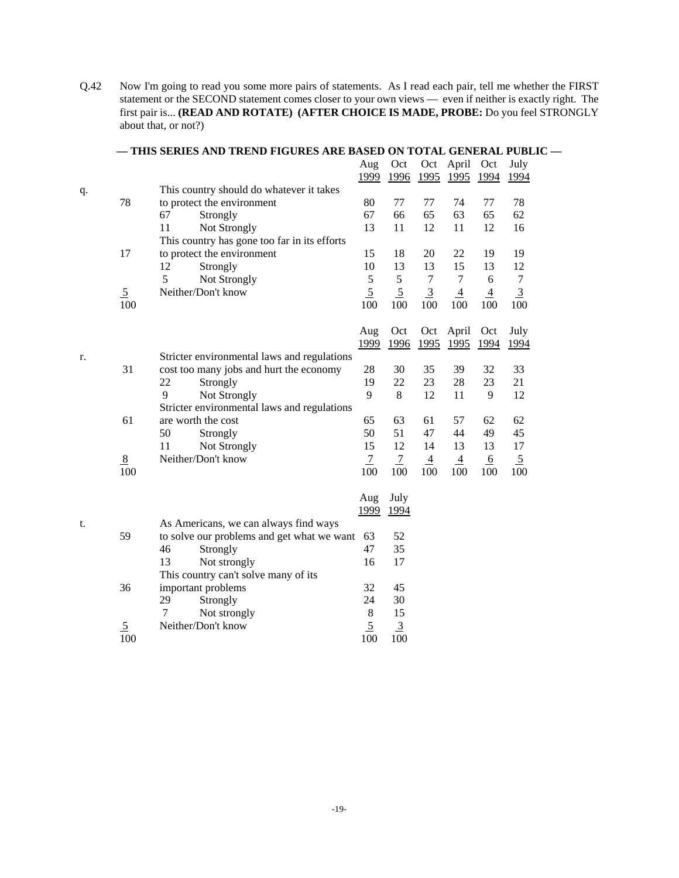Q.42 Now I'm going to read you some more pairs of statements. As I read each pair, tell me whether the FIRST statement or the SECOND statement comes closer to your own views — even if neither is exactly right. The first pair is... **(READ AND ROTATE) (AFTER CHOICE IS MADE, PROBE:** Do you feel STRONGLY about that, or not?)

#### **— THIS SERIES AND TREND FIGURES ARE BASED ON TOTAL GENERAL PUBLIC —**

|    |                |                                              | Aug<br>1999           | Oct<br>1996           | Oct<br>1995    | April<br>1995    | Oct<br>1994      | July<br>1994     |
|----|----------------|----------------------------------------------|-----------------------|-----------------------|----------------|------------------|------------------|------------------|
| q. |                | This country should do whatever it takes     |                       |                       |                |                  |                  |                  |
|    | 78             | to protect the environment                   | 80                    | 77                    | 77             | 74               | 77               | 78               |
|    |                | 67<br>Strongly                               | 67                    | 66                    | 65             | 63               | 65               | 62               |
|    |                | 11<br>Not Strongly                           | 13                    | 11                    | 12             | 11               | 12               | 16               |
|    |                | This country has gone too far in its efforts |                       |                       |                |                  |                  |                  |
|    | 17             | to protect the environment                   | 15                    | 18                    | 20             | 22               | 19               | 19               |
|    |                | 12<br>Strongly                               | 10                    | 13                    | 13             | 15               | 13               | 12               |
|    |                | 5<br>Not Strongly                            | 5                     | 5                     | $\tau$         | $\boldsymbol{7}$ | $\boldsymbol{6}$ | $\boldsymbol{7}$ |
|    | $\overline{5}$ | Neither/Don't know                           | $\overline{5}$        | $\overline{5}$        | $\overline{3}$ | $\overline{4}$   | $\overline{4}$   | $\overline{3}$   |
|    | 100            |                                              | 100                   | 100                   | 100            | 100              | 100              | 100              |
|    |                |                                              | Aug                   | Oct                   | Oct            | April            | Oct              | July             |
|    |                |                                              | 1999                  | 1996                  | 1995           | 1995             | 1994             | 1994             |
| r. |                | Stricter environmental laws and regulations  |                       |                       |                |                  |                  |                  |
|    | 31             | cost too many jobs and hurt the economy      | 28                    | 30                    | 35             | 39               | 32               | 33               |
|    |                | 22<br>Strongly                               | 19                    | 22                    | 23             | 28               | 23               | 21               |
|    |                | 9<br>Not Strongly                            | 9                     | 8                     | 12             | 11               | 9                | 12               |
|    |                | Stricter environmental laws and regulations  |                       |                       |                |                  |                  |                  |
|    | 61             | are worth the cost                           | 65                    | 63                    | 61             | 57               | 62               | 62               |
|    |                | 50<br>Strongly                               | 50                    | 51                    | 47             | 44               | 49               | 45               |
|    |                | Not Strongly<br>11                           | 15                    | 12                    | 14             | 13               | 13               | 17               |
|    | 8              | Neither/Don't know                           | $\overline{1}$        | $\overline{1}$        | $\overline{4}$ | $\overline{4}$   | 6                | $\overline{5}$   |
|    | 100            |                                              | 100                   | 100                   | 100            | 100              | 100              | 100              |
|    |                |                                              | Aug                   | July                  |                |                  |                  |                  |
|    |                |                                              | 1999                  | 1994                  |                |                  |                  |                  |
| t. |                | As Americans, we can always find ways        |                       |                       |                |                  |                  |                  |
|    | 59             | to solve our problems and get what we want   | 63                    | 52                    |                |                  |                  |                  |
|    |                | 46<br>Strongly                               | 47                    | 35                    |                |                  |                  |                  |
|    |                | 13<br>Not strongly                           | 16                    | 17                    |                |                  |                  |                  |
|    |                | This country can't solve many of its         |                       |                       |                |                  |                  |                  |
|    | 36             | important problems                           | 32                    | 45                    |                |                  |                  |                  |
|    |                | Strongly<br>29                               | 24                    | 30                    |                |                  |                  |                  |
|    |                | 7<br>Not strongly<br>Neither/Don't know      | $\,8\,$               | 15                    |                |                  |                  |                  |
|    | $\overline{5}$ |                                              | $\overline{5}$<br>100 | $\overline{3}$<br>100 |                |                  |                  |                  |
|    | 100            |                                              |                       |                       |                |                  |                  |                  |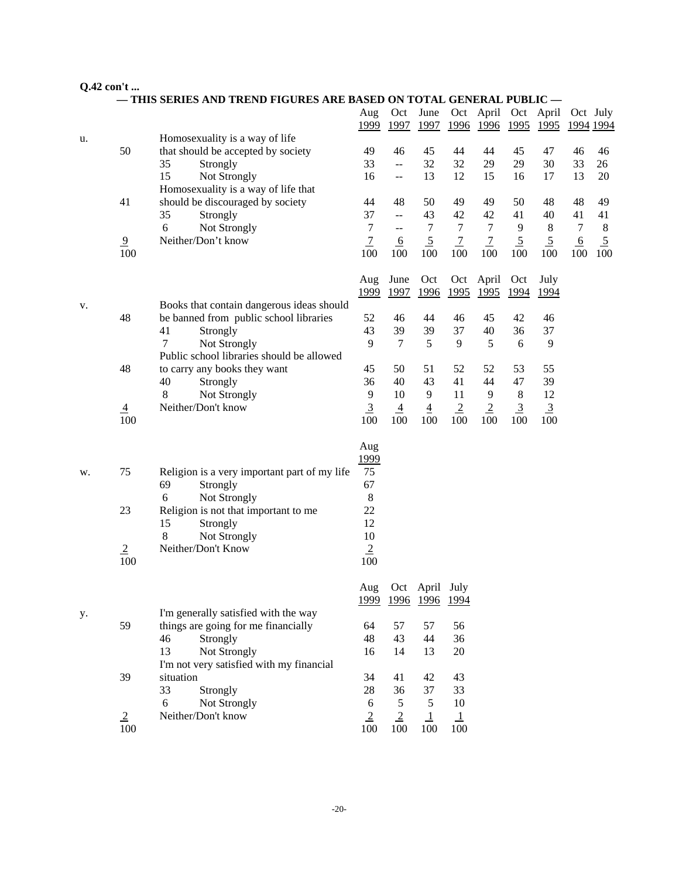#### **Q.42 con't ...**

#### **— THIS SERIES AND TREND FIGURES ARE BASED ON TOTAL GENERAL PUBLIC —**

|    |                       |                                                                                                                                                                 | Aug<br>1999                  | Oct<br>1997                                               | June<br>1997                                 | Oct<br>1996                | April<br>1996                | Oct<br>1995                | April<br>1995              | Oct July<br>1994 1994      |                              |
|----|-----------------------|-----------------------------------------------------------------------------------------------------------------------------------------------------------------|------------------------------|-----------------------------------------------------------|----------------------------------------------|----------------------------|------------------------------|----------------------------|----------------------------|----------------------------|------------------------------|
| u. | 50                    | Homosexuality is a way of life<br>that should be accepted by society<br>35<br>Strongly<br>15<br>Not Strongly                                                    | 49<br>33<br>16               | 46<br>Ξ.<br>$\mathord{\hspace{1pt}\text{--}\hspace{1pt}}$ | 45<br>32<br>13                               | 44<br>32<br>12             | 44<br>29<br>15               | 45<br>29<br>16             | 47<br>30<br>17             | 46<br>33<br>13             | 46<br>26<br>20               |
|    | 41                    | Homosexuality is a way of life that<br>should be discouraged by society<br>35<br>Strongly<br>6<br>Not Strongly                                                  | 44<br>37<br>$\boldsymbol{7}$ | 48<br>Ξ.<br>$\overline{\phantom{m}}$                      | 50<br>43<br>$\tau$                           | 49<br>42<br>$\overline{7}$ | 49<br>42<br>$\boldsymbol{7}$ | 50<br>41<br>9              | 48<br>40<br>$8\phantom{1}$ | 48<br>41<br>$\overline{7}$ | 49<br>41<br>$\boldsymbol{8}$ |
|    | $\overline{9}$<br>100 | Neither/Don't know                                                                                                                                              | $\overline{1}$<br>100        | 6<br>100                                                  | $\overline{5}$<br>100                        | $\overline{1}$<br>100      | $\overline{7}$<br>100        | $\overline{5}$<br>100      | $\overline{5}$<br>100      | 6<br>100                   | $\overline{5}$<br>100        |
| V. |                       | Books that contain dangerous ideas should                                                                                                                       | Aug<br>1999                  | June<br>1997                                              | Oct<br>1996                                  | Oct<br>1995                | April<br>1995                | Oct<br>1994                | July<br>1994               |                            |                              |
|    | 48                    | be banned from public school libraries<br>41<br>Strongly<br>7<br>Not Strongly<br>Public school libraries should be allowed                                      | 52<br>43<br>9                | 46<br>39<br>$\tau$                                        | 44<br>39<br>5                                | 46<br>37<br>9              | 45<br>40<br>5                | 42<br>36<br>6              | 46<br>37<br>9              |                            |                              |
|    | 48                    | to carry any books they want<br>40<br>Strongly<br>8<br>Not Strongly                                                                                             | 45<br>36<br>9                | 50<br>40<br>10                                            | 51<br>43<br>9                                | 52<br>41<br>11             | 52<br>44<br>9                | 53<br>47<br>$8\phantom{1}$ | 55<br>39<br>12             |                            |                              |
|    | $\overline{4}$<br>100 | Neither/Don't know                                                                                                                                              | $\overline{3}$<br>100        | $\overline{4}$<br>100                                     | $\overline{4}$<br>100                        | $\overline{2}$<br>100      | $\overline{2}$<br>100        | $\overline{3}$<br>100      | $\overline{3}$<br>100      |                            |                              |
| w. | 75                    | Religion is a very important part of my life<br>69<br>Strongly                                                                                                  | Aug<br>1999<br>75<br>67      |                                                           |                                              |                            |                              |                            |                            |                            |                              |
|    | 23                    | 6<br>Not Strongly<br>Religion is not that important to me<br>15<br>Strongly<br>8<br>Not Strongly                                                                | $\,8\,$<br>22<br>12<br>10    |                                                           |                                              |                            |                              |                            |                            |                            |                              |
|    | $\overline{2}$<br>100 | Neither/Don't Know                                                                                                                                              | $\overline{2}$<br>100        |                                                           |                                              |                            |                              |                            |                            |                            |                              |
|    |                       |                                                                                                                                                                 | Aug                          |                                                           | Oct April July<br><u>1999 1996 1996 1994</u> |                            |                              |                            |                            |                            |                              |
| у. | 59                    | I'm generally satisfied with the way<br>things are going for me financially<br>46<br>Strongly<br>Not Strongly<br>13<br>I'm not very satisfied with my financial | 64<br>48<br>16               | 57<br>43<br>14                                            | 57<br>44<br>13                               | 56<br>36<br>20             |                              |                            |                            |                            |                              |
|    | 39                    | situation<br>33<br>Strongly<br>6<br>Not Strongly                                                                                                                | 34<br>28<br>$\sqrt{6}$       | 41<br>36<br>$\sqrt{5}$                                    | 42<br>37<br>5                                | 43<br>33<br>10             |                              |                            |                            |                            |                              |
|    | $\overline{2}$<br>100 | Neither/Don't know                                                                                                                                              | $\overline{2}$<br>100        | $\overline{2}$<br>100                                     | $\perp$<br>100                               | $\perp$<br>100             |                              |                            |                            |                            |                              |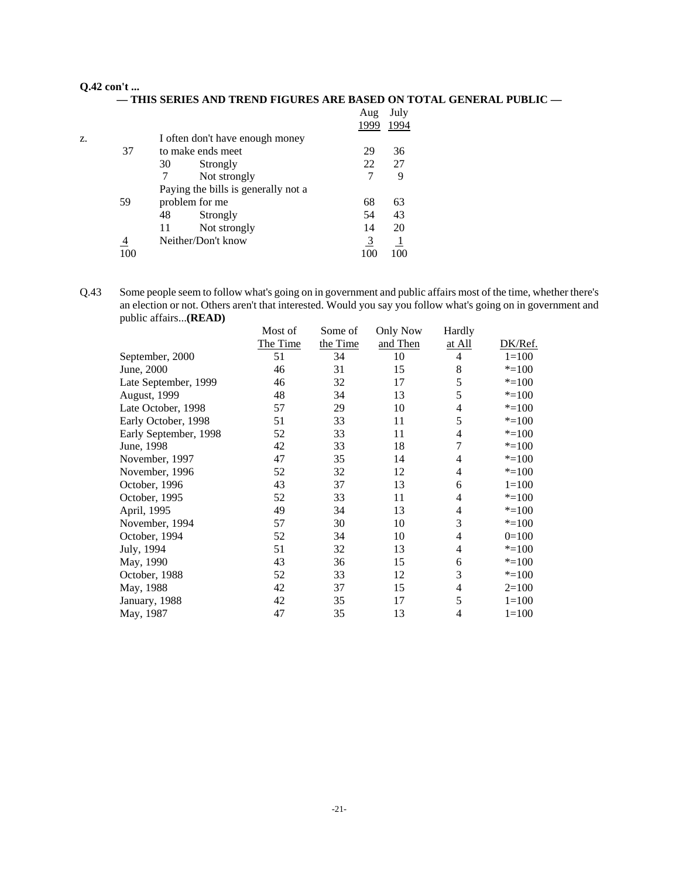**Q.42 con't ...**

#### **— THIS SERIES AND TREND FIGURES ARE BASED ON TOTAL GENERAL PUBLIC —**

|                                       | 1999 |              |
|---------------------------------------|------|--------------|
|                                       |      | 1994         |
| I often don't have enough money<br>z. |      |              |
| 37<br>to make ends meet               | 29   | 36           |
| 30<br>Strongly                        | 22   | 27           |
| Not strongly                          |      | 9            |
| Paying the bills is generally not a   |      |              |
| problem for me<br>59                  | 68   | 63           |
| 48<br>Strongly                        | 54   | 43           |
| Not strongly<br>11                    | 14   | 20           |
| Neither/Don't know                    | 3    | $\mathbf{1}$ |
|                                       |      |              |

Q.43 Some people seem to follow what's going on in government and public affairs most of the time, whether there's an election or not. Others aren't that interested. Would you say you follow what's going on in government and public affairs...**(READ)**

|                       | Most of  | Some of  | Only Now | Hardly         |           |
|-----------------------|----------|----------|----------|----------------|-----------|
|                       | The Time | the Time | and Then | at All         | DK/Ref.   |
| September, 2000       | 51       | 34       | 10       | 4              | $1 = 100$ |
| June, 2000            | 46       | 31       | 15       | 8              | $* = 100$ |
| Late September, 1999  | 46       | 32       | 17       | 5              | $* = 100$ |
| August, 1999          | 48       | 34       | 13       | 5              | $* = 100$ |
| Late October, 1998    | 57       | 29       | 10       | 4              | $* = 100$ |
| Early October, 1998   | 51       | 33       | 11       | 5              | $* = 100$ |
| Early September, 1998 | 52       | 33       | 11       | 4              | $* = 100$ |
| June, 1998            | 42       | 33       | 18       | 7              | $* = 100$ |
| November, 1997        | 47       | 35       | 14       | $\overline{4}$ | $* = 100$ |
| November, 1996        | 52       | 32       | 12       | 4              | $* = 100$ |
| October, 1996         | 43       | 37       | 13       | 6              | $1 = 100$ |
| October, 1995         | 52       | 33       | 11       | 4              | $* = 100$ |
| April, 1995           | 49       | 34       | 13       | 4              | $* = 100$ |
| November, 1994        | 57       | 30       | 10       | 3              | $* = 100$ |
| October, 1994         | 52       | 34       | 10       | 4              | $0=100$   |
| July, 1994            | 51       | 32       | 13       | 4              | $* = 100$ |
| May, 1990             | 43       | 36       | 15       | 6              | $* = 100$ |
| October, 1988         | 52       | 33       | 12       | 3              | $* = 100$ |
| May, 1988             | 42       | 37       | 15       | 4              | $2=100$   |
| January, 1988         | 42       | 35       | 17       | 5              | $1=100$   |
| May, 1987             | 47       | 35       | 13       | 4              | $1=100$   |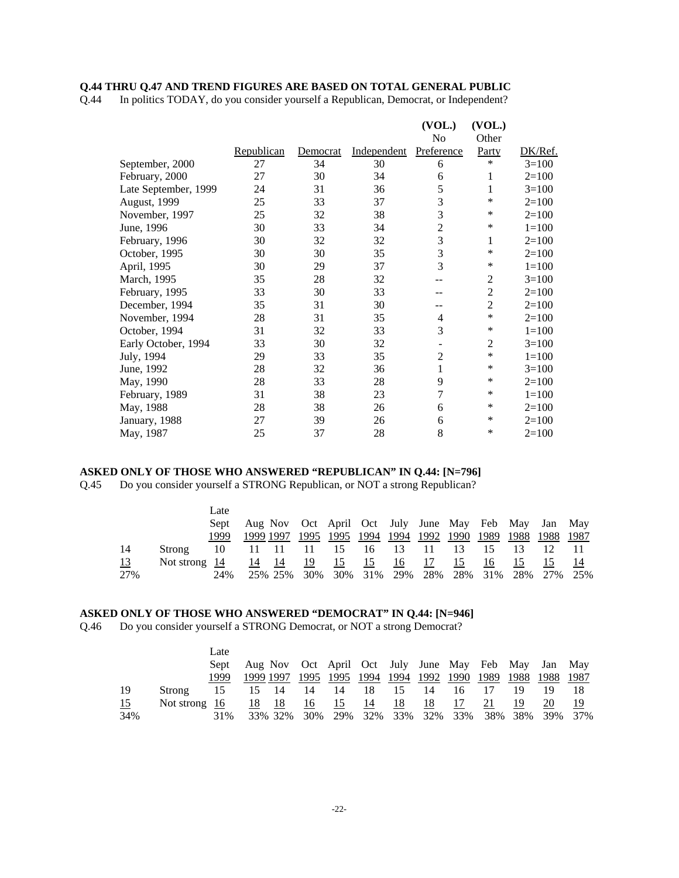# **Q.44 THRU Q.47 AND TREND FIGURES ARE BASED ON TOTAL GENERAL PUBLIC**

Q.44 In politics TODAY, do you consider yourself a Republican, Democrat, or Independent?

|                      |            |          |             | (VOL.)         | (VOL.)         |           |
|----------------------|------------|----------|-------------|----------------|----------------|-----------|
|                      |            |          |             | No             | Other          |           |
|                      | Republican | Democrat | Independent | Preference     | Party          | DK/Ref.   |
| September, 2000      | 27         | 34       | 30          | 6              | $\ast$         | $3=100$   |
| February, 2000       | 27         | 30       | 34          | 6              | 1              | $2=100$   |
| Late September, 1999 | 24         | 31       | 36          | 5              | 1              | $3=100$   |
| August, 1999         | 25         | 33       | 37          | 3              | ∗              | $2=100$   |
| November, 1997       | 25         | 32       | 38          | 3              | $\ast$         | $2=100$   |
| June, 1996           | 30         | 33       | 34          | $\overline{2}$ | $\ast$         | $1=100$   |
| February, 1996       | 30         | 32       | 32          | 3              | 1              | $2=100$   |
| October, 1995        | 30         | 30       | 35          | 3              | ∗              | $2=100$   |
| April, 1995          | 30         | 29       | 37          | 3              | $\ast$         | $1 = 100$ |
| March, 1995          | 35         | 28       | 32          | --             | 2              | $3=100$   |
| February, 1995       | 33         | 30       | 33          |                | $\overline{2}$ | $2=100$   |
| December, 1994       | 35         | 31       | 30          |                | $\overline{2}$ | $2=100$   |
| November, 1994       | 28         | 31       | 35          | 4              | $\ast$         | $2=100$   |
| October, 1994        | 31         | 32       | 33          | 3              | $\ast$         | $1 = 100$ |
| Early October, 1994  | 33         | 30       | 32          |                | $\overline{c}$ | $3=100$   |
| July, 1994           | 29         | 33       | 35          | $\overline{2}$ | $\ast$         | $1 = 100$ |
| June, 1992           | 28         | 32       | 36          | $\mathbf{1}$   | $\ast$         | $3=100$   |
| May, 1990            | 28         | 33       | 28          | 9              | $\ast$         | $2=100$   |
| February, 1989       | 31         | 38       | 23          | 7              | $\ast$         | $1 = 100$ |
| May, 1988            | 28         | 38       | 26          | 6              | $\ast$         | $2=100$   |
| January, 1988        | 27         | 39       | 26          | 6              | *              | $2=100$   |
| May, 1987            | 25         | 37       | 28          | 8              | $\ast$         | $2=100$   |

# **ASKED ONLY OF THOSE WHO ANSWERED "REPUBLICAN" IN Q.44: [N=796]**

Q.45 Do you consider yourself a STRONG Republican, or NOT a strong Republican?

|     |               | Late |    |         |      |                                                          |                |    |    |             |    |    |           |     |
|-----|---------------|------|----|---------|------|----------------------------------------------------------|----------------|----|----|-------------|----|----|-----------|-----|
|     |               | Sept |    |         |      | Aug Nov Oct April Oct July June May Feb May Jan May      |                |    |    |             |    |    |           |     |
|     |               | 1999 |    |         |      | <u>1999 1997 1995 1995 1994 1994 1992 1990 1989 1988</u> |                |    |    |             |    |    | 1988 1987 |     |
| 14  | Strong        | 10   |    | - 11    | - 11 | 15                                                       | -16            | 13 | 11 | 13          | 15 |    |           | 11  |
| 13  | Not strong 14 |      | 14 | -14     | -19  | 15                                                       | 15             | 16 | 17 | 15          | 16 | 15 | 15        | 14  |
| 27% |               | 24%  |    | 25% 25% | 30%  |                                                          | 30\% 31\% 29\% |    |    | 28% 28% 31% |    |    | 28% 27%   | 25% |

# **ASKED ONLY OF THOSE WHO ANSWERED "DEMOCRAT" IN Q.44: [N=946]**

Q.46 Do you consider yourself a STRONG Democrat, or NOT a strong Democrat?

|     |                 | Late<br>Sept<br>1999 |       |         |      | Aug Nov Oct April Oct July June May Feb May Jan May<br><u>1999 1997 1995 1995 1994 1994 1992 1990 1989 1988 1988 1987</u> |       |    |                     |    |    |                 |    |    |
|-----|-----------------|----------------------|-------|---------|------|---------------------------------------------------------------------------------------------------------------------------|-------|----|---------------------|----|----|-----------------|----|----|
| 19  | Strong          | 15                   | 15 14 |         | - 14 | 14                                                                                                                        | -- 18 | 15 | -14                 | 16 | 17 | 19              | 19 | 18 |
| 15  | Not strong $16$ |                      | 18    | 18      | -16  | 15                                                                                                                        | -14   | 18 | 18                  | 17 | 21 | 19              | 20 | 19 |
| 34% |                 | 31%                  |       | 33% 32% | 30%  |                                                                                                                           |       |    | 29% 32% 33% 32% 33% |    |    | 38% 38% 39% 37% |    |    |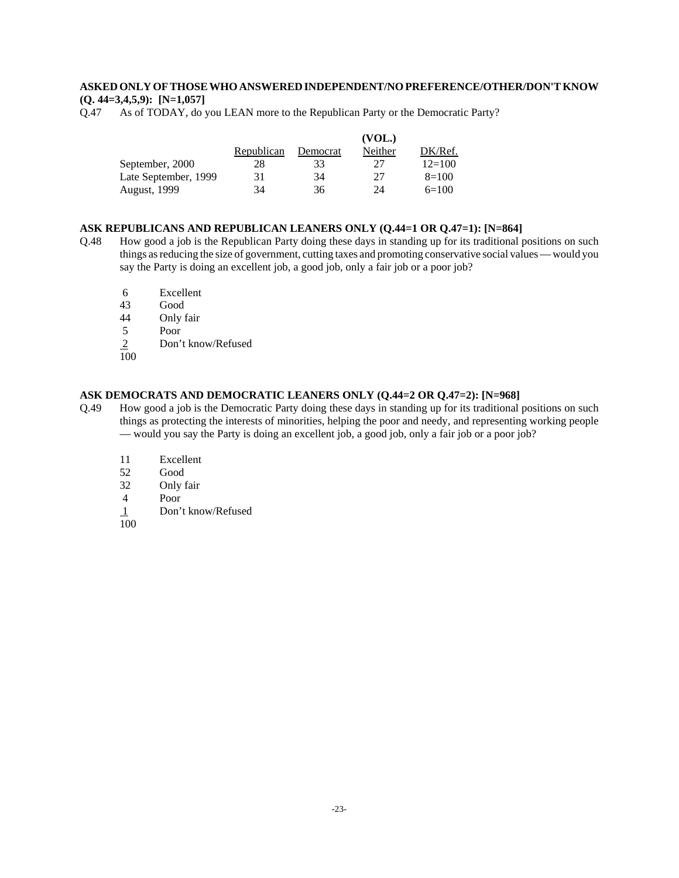## **ASKED ONLY OF THOSE WHO ANSWERED INDEPENDENT/NO PREFERENCE/OTHER/DON'T KNOW (Q. 44=3,4,5,9): [N=1,057]**

Q.47 As of TODAY, do you LEAN more to the Republican Party or the Democratic Party?

|                      |            |          | (VOL.)  |          |
|----------------------|------------|----------|---------|----------|
|                      | Republican | Democrat | Neither | DK/Ref.  |
| September, 2000      | 28         | 33       | 27      | $12=100$ |
| Late September, 1999 | 31         | 34       | 27      | $8=100$  |
| <b>August, 1999</b>  | 34         | 36       | 24      | $6=100$  |

#### **ASK REPUBLICANS AND REPUBLICAN LEANERS ONLY (Q.44=1 OR Q.47=1): [N=864]**

- Q.48 How good a job is the Republican Party doing these days in standing up for its traditional positions on such things as reducing the size of government, cutting taxes and promoting conservative social values — would you say the Party is doing an excellent job, a good job, only a fair job or a poor job?
	- 6 Excellent
	- 43 Good<br>44 Only 1
	- Only fair
	- 5 Poor
	- 2 Don't know/Refused
	- $\overline{100}$

# **ASK DEMOCRATS AND DEMOCRATIC LEANERS ONLY (Q.44=2 OR Q.47=2): [N=968]**

- Q.49 How good a job is the Democratic Party doing these days in standing up for its traditional positions on such things as protecting the interests of minorities, helping the poor and needy, and representing working people — would you say the Party is doing an excellent job, a good job, only a fair job or a poor job?
	- 11 Excellent
	- 52 Good<br>32 Only f
	- Only fair
	- 4 Poor
	- 1 Don't know/Refused
	- $\overline{100}$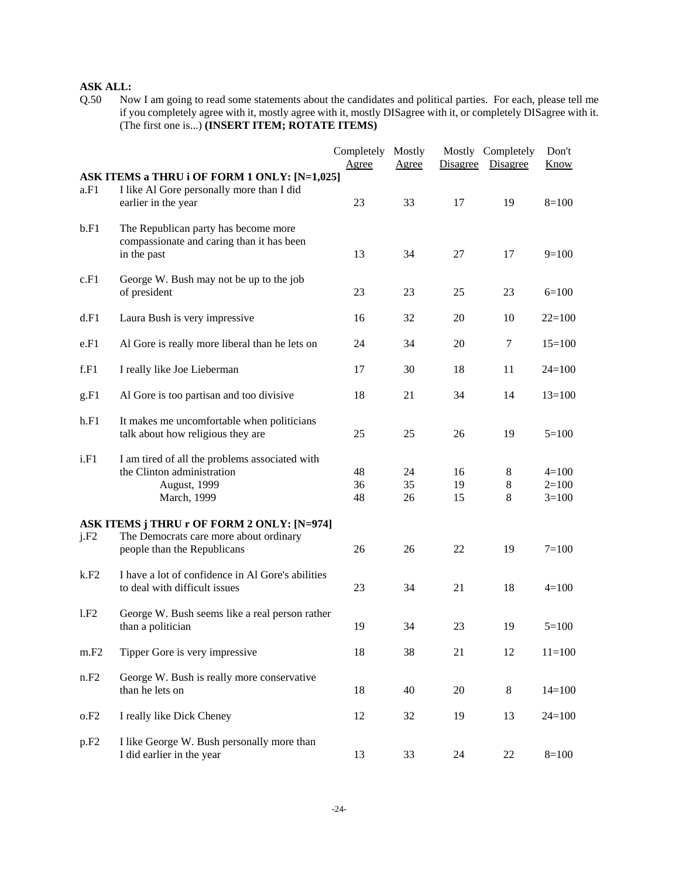**ASK ALL:**<br>Q.50 No Q.50 Now I am going to read some statements about the candidates and political parties. For each, please tell me if you completely agree with it, mostly agree with it, mostly DISagree with it, or completely DISagree with it. (The first one is...) **(INSERT ITEM; ROTATE ITEMS)**

|                  |                                                                                                  | Completely Mostly |          | Disagree | Mostly Completely | Don't              |
|------------------|--------------------------------------------------------------------------------------------------|-------------------|----------|----------|-------------------|--------------------|
|                  | ASK ITEMS a THRU i OF FORM 1 ONLY: [N=1,025]                                                     | Agree             | Agree    |          | Disagree          | Know               |
| a.F1             | I like Al Gore personally more than I did                                                        |                   |          |          |                   |                    |
|                  | earlier in the year                                                                              | 23                | 33       | 17       | 19                | $8=100$            |
| b.F1             | The Republican party has become more<br>compassionate and caring than it has been<br>in the past | 13                | 34       | 27       | 17                | $9=100$            |
| c.F1             | George W. Bush may not be up to the job<br>of president                                          | 23                | 23       | 25       | 23                | $6=100$            |
| d.F1             | Laura Bush is very impressive                                                                    | 16                | 32       | 20       | 10                | $22=100$           |
| e.F1             | Al Gore is really more liberal than he lets on                                                   | 24                | 34       | 20       | 7                 | $15=100$           |
| f.F1             | I really like Joe Lieberman                                                                      | 17                | 30       | 18       | 11                | $24 = 100$         |
| g.F1             | Al Gore is too partisan and too divisive                                                         | 18                | 21       | 34       | 14                | $13=100$           |
| h.F1             | It makes me uncomfortable when politicians<br>talk about how religious they are                  | 25                | 25       | 26       | 19                | $5=100$            |
| i.F1             | I am tired of all the problems associated with                                                   |                   |          |          |                   |                    |
|                  | the Clinton administration                                                                       | 48<br>36          | 24<br>35 | 16<br>19 | 8<br>$8\,$        | $4=100$<br>$2=100$ |
|                  | August, 1999<br>March, 1999                                                                      | 48                | 26       | 15       | 8                 | $3=100$            |
|                  | ASK ITEMS J THRU r OF FORM 2 ONLY: [N=974]                                                       |                   |          |          |                   |                    |
| j.F2             | The Democrats care more about ordinary<br>people than the Republicans                            | 26                | 26       | 22       | 19                | $7=100$            |
| k.F2             | I have a lot of confidence in Al Gore's abilities<br>to deal with difficult issues               | 23                | 34       | 21       | 18                | $4=100$            |
| 1.F2             | George W. Bush seems like a real person rather<br>than a politician                              | 19                | 34       | 23       | 19                | $5=100$            |
| m.F2             | Tipper Gore is very impressive                                                                   | 18                | 38       | 21       | 12                | $11 = 100$         |
| n.F2             | George W. Bush is really more conservative<br>than he lets on                                    | 18                | 40       | $20\,$   | 8                 | $14 = 100$         |
| o.F2             | I really like Dick Cheney                                                                        | 12                | 32       | 19       | 13                | $24=100$           |
| p.F <sub>2</sub> | I like George W. Bush personally more than<br>I did earlier in the year                          | 13                | 33       | 24       | 22                | $8=100$            |